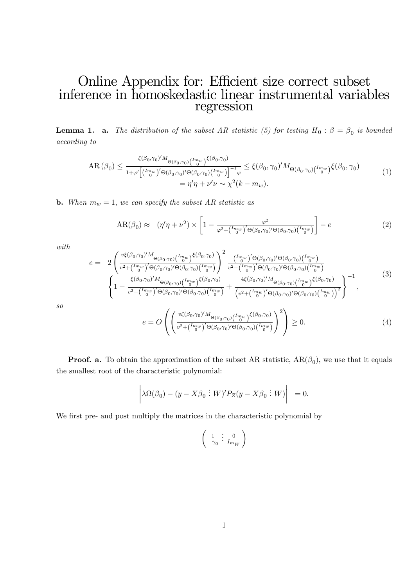## Online Appendix for: Efficient size correct subset inference in homoskedastic linear instrumental variables regression

**Lemma 1. a.** The distribution of the subset AR statistic (5) for testing  $H_0: \beta = \beta_0$  is bounded according to

$$
AR(\beta_0) \leq \frac{\xi(\beta_0, \gamma_0)' M_{\Theta(\beta_0, \gamma_0)} {\binom{I_{\text{m}}}{{0}}} \xi(\beta_0, \gamma_0)}{\frac{1}{1+\varphi' \left[ \binom{I_{\text{m}}}{{0}}' \Theta(\beta_0, \gamma_0)' \Theta(\beta_0, \gamma_0) \binom{I_{\text{m}}}{{0}}} \right]^{-1} \varphi} \leq \xi(\beta_0, \gamma_0)' M_{\Theta(\beta_0, \gamma_0)} {\binom{I_{\text{m}}}{{0}}} \xi(\beta_0, \gamma_0)
$$
\n
$$
= \eta' \eta + \nu' \nu \sim \chi^2(k - m_w). \tag{1}
$$

**b.** When  $m_w = 1$ , we can specify the subset AR statistic as

$$
AR(\beta_0) \approx (\eta'\eta + \nu^2) \times \left[1 - \frac{\varphi^2}{\varphi^2 + \binom{Im_w}{0}^\prime \Theta(\beta_0, \gamma_0)^\prime \Theta(\beta_0, \gamma_0) \binom{Im_w}{0}}\right] - e \tag{2}
$$

with

$$
e = 2\left(\frac{v\xi(\beta_{0},\gamma_{0})'M_{\Theta(\beta_{0},\gamma_{0})}(I_{0}^{m_{w}})}{v^{2}+(I_{0}^{m_{w}})^{'}\Theta(\beta_{0},\gamma_{0})\Theta(\beta_{0},\gamma_{0})}+\frac{(I_{0}^{m_{w}})^{'}\Theta(\beta_{0},\gamma_{0})'G(\beta_{0},\gamma_{0})(I_{0}^{m_{w}})}{v^{2}+(I_{0}^{m_{w}})^{'}\Theta(\beta_{0},\gamma_{0})\Theta(\beta_{0},\gamma_{0})}(I_{0}^{m_{w}})}\right)^{2} \frac{(I_{0}^{m_{w}})^{'}\Theta(\beta_{0},\gamma_{0})'G(\beta_{0},\gamma_{0})(I_{0}^{m_{w}})}{v^{2}+(I_{0}^{m_{w}})^{'}\Theta(\beta_{0},\gamma_{0})'\Theta(\beta_{0},\gamma_{0})}(I_{0}^{m_{w}})} + \frac{4\xi(\beta_{0},\gamma_{0})'M_{\Theta(\beta_{0},\gamma_{0})}(I_{0}^{m_{w}})}{v^{2}+(I_{0}^{m_{w}})^{'}\Theta(\beta_{0},\gamma_{0})\Theta(\beta_{0},\gamma_{0})}(I_{0}^{m_{w}})}\right)^{-1}
$$
\n
$$
e = O\left(\left(\frac{v\xi(\beta_{0},\gamma_{0})'M_{\Theta(\beta_{0},\gamma_{0})}(I_{0}^{m_{w}})}{v^{2}+(I_{0}^{m_{w}})^{'}\Theta(\beta_{0},\gamma_{0})}(I_{0}^{m_{w}})}\right)^{2}\right) \geq 0.
$$
\n
$$
(4)
$$

so

**Proof. a.** To obtain the approximation of the subset AR statistic, 
$$
AR(\beta_0)
$$
, we use that it equals the smallest root of the characteristic polynomial:

$$
\left|\lambda\Omega(\beta_0)-(y-X\beta_0\,\vdots W)'P_Z(y-X\beta_0\,\vdots W)\right|_0=0.
$$

We first pre- and post multiply the matrices in the characteristic polynomial by

$$
\left(\begin{smallmatrix} 1 & \vdots & 0 \\ -\gamma_0 & \cdot & I_{m_W} \end{smallmatrix}\right)
$$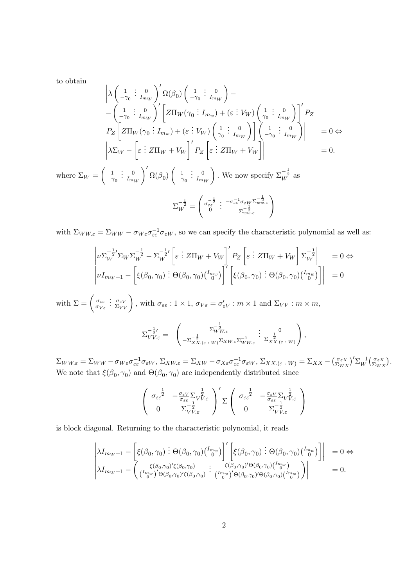to obtain

$$
\begin{vmatrix}\n\lambda \begin{pmatrix}\n1 & \vdots & 0 \\
-\gamma_0 & \vdots & I_{m_W}\n\end{pmatrix}' \Omega(\beta_0) \begin{pmatrix}\n1 & \vdots & 0 \\
-\gamma_0 & \vdots & I_{m_W}\n\end{pmatrix} - \begin{pmatrix}\n1 & \vdots & 0 \\
-\gamma_0 & \vdots & I_{m_W}\n\end{pmatrix}' \begin{bmatrix}\nZ\Pi_W(\gamma_0 \vdots I_{m_w}) + (\varepsilon \vdots V_W) \begin{pmatrix}\n1 & \vdots & 0 \\
\gamma_0 & I_{m_W}\n\end{pmatrix}\n\end{vmatrix}' P_Z\n\end{vmatrix}' P_Z\n\end{vmatrix}
$$
\n
$$
P_Z \begin{bmatrix}\nZ\Pi_W(\gamma_0 \vdots I_{m_w}) + (\varepsilon \vdots V_W) \begin{pmatrix}\n1 & \vdots & 0 \\
\gamma_0 & I_{m_W}\n\end{pmatrix}\n\begin{bmatrix}\n1 & \vdots & 0 \\
-\gamma_0 & I_{m_W}\n\end{bmatrix}' = 0 \Leftrightarrow
$$
\n
$$
\begin{vmatrix}\n\lambda \Sigma_W - \begin{bmatrix}\n\varepsilon & \vdots & Z\Pi_W + V_W\n\end{bmatrix}' P_Z \begin{bmatrix}\n\varepsilon & \vdots & Z\Pi_W + V_W\n\end{bmatrix}\n\end{vmatrix} = 0.
$$
\nwhere  $\Sigma_W = \begin{pmatrix}\n1 & \vdots & 0 \\
-\gamma_0 & I_{m_W}\n\end{pmatrix}' \Omega(\beta_0) \begin{pmatrix}\n1 & \vdots & 0 \\
-\gamma_0 & I_{m_W}\n\end{pmatrix}$ . We now specify  $\Sigma_W^{-\frac{1}{2}}$  as\n
$$
\Sigma_W^{-\frac{1}{2}} = \begin{pmatrix}\n\sigma_{\varepsilon \varepsilon}^{-\frac{1}{2}} & \vdots & -\sigma_{\varepsilon \varepsilon}^{-1} \sigma_{\varepsilon W} \Sigma_{w \varepsilon}^{-\frac{1}{2}} \\
\delta & \Sigma_{w \varepsilon}^{-\frac{1}{2}}\n\end{pmatrix}
$$

with  $\Sigma_{WW\epsilon} = \Sigma_{WW} - \sigma_{W\epsilon}\sigma_{\epsilon\epsilon}^{-1}\sigma_{\epsilon W}$ , so we can specify the characteristic polynomial as well as:

$$
\begin{vmatrix} \nu \Sigma_W^{-\frac{1}{2}'} \Sigma_W \Sigma_W^{-\frac{1}{2}} - \Sigma_W^{-\frac{1}{2}'} \left[ \varepsilon \vdots Z\Pi_W + V_W \right]' P_Z \left[ \varepsilon \vdots Z\Pi_W + V_W \right] \Sigma_W^{-\frac{1}{2}} \Big|_{\nu I_{m_W+1}} = 0 \Leftrightarrow \\ \nu I_{m_W+1} - \left[ \xi(\beta_0, \gamma_0) \vdots \Theta(\beta_0, \gamma_0) \binom{I_{m_W}}{0} \right]' \left[ \xi(\beta_0, \gamma_0) \vdots \Theta(\beta_0, \gamma_0) \binom{I_{m_W}}{0} \right] \Big|_{\nu I_{m_W+1}} = 0 \end{vmatrix}
$$

with  $\Sigma = \begin{pmatrix} \sigma_{\varepsilon\varepsilon} \\ \sigma_{\varepsilon\varepsilon} \end{pmatrix}$  $\sigma_{V \varepsilon}$  $\left\{\frac{\partial}{\partial \Sigma_{VV}}\right\}$ , with  $\sigma_{\varepsilon\varepsilon}: 1 \times 1$ ,  $\sigma_{V\varepsilon} = \sigma'_{\varepsilon V}: m \times 1$  and  $\Sigma_{VV}: m \times m$ ,

$$
\Sigma_{VV,\varepsilon}^{-\frac{1}{2} \prime} = \begin{pmatrix} \Sigma_{WW,\varepsilon}^{-\frac{1}{2}} & \vdots & 0 \\ -\Sigma_{XX,(\varepsilon+W)}^{-\frac{1}{2}} \Sigma_{XW,\varepsilon} \Sigma_{WW,\varepsilon}^{-1} & \Sigma_{XX,(\varepsilon+W)}^{-\frac{1}{2}} \end{pmatrix},
$$

 $\Sigma_{WW\cdot\varepsilon}=\Sigma_{WW}-\sigma_{W\varepsilon}\sigma_{\varepsilon\varepsilon}^{-1}\sigma_{\varepsilon W},\, \Sigma_{XW\cdot\varepsilon}=\Sigma_{XW}-\sigma_{X\varepsilon}\sigma_{\varepsilon\varepsilon}^{-1}\sigma_{\varepsilon W},\, \Sigma_{XX\cdot(\varepsilon\;:\;W)}=\Sigma_{XX}-\big(\frac{\sigma_{\varepsilon X}}{\Sigma_{WY}}\big)$  $\left(\frac{\sigma_{\varepsilon X}}{\Sigma_{WX}}\right)'\Sigma_W^{-1}\left(\frac{\sigma_{\varepsilon X}}{\Sigma_{WZ}}\right)$  $\frac{\sigma_{\varepsilon X}}{\Sigma_{WX}}$ . We note that  $\xi(\beta_0, \gamma_0)$  and  $\Theta(\beta_0, \gamma_0)$  are independently distributed since

$$
\begin{pmatrix}\n\sigma_{\varepsilon\varepsilon}^{-\frac{1}{2}} & -\frac{\sigma_{\varepsilon V}}{\sigma_{\varepsilon\varepsilon}} \Sigma_{VV,\varepsilon}^{-\frac{1}{2}} \\
0 & \Sigma_{VV,\varepsilon}^{-\frac{1}{2}}\n\end{pmatrix}' \Sigma \begin{pmatrix}\n\sigma_{\varepsilon\varepsilon}^{-\frac{1}{2}} & -\frac{\sigma_{\varepsilon V}}{\sigma_{\varepsilon\varepsilon}} \Sigma_{VV,\varepsilon}^{-\frac{1}{2}} \\
0 & \Sigma_{VV,\varepsilon}^{-\frac{1}{2}}\n\end{pmatrix}
$$

is block diagonal. Returning to the characteristic polynomial, it reads

$$
\begin{vmatrix} \lambda I_{m_W+1} - \left[ \xi(\beta_0, \gamma_0) \vdots \Theta(\beta_0, \gamma_0) \binom{I_{m_W}}{0} \right]' \left[ \xi(\beta_0, \gamma_0) \vdots \Theta(\beta_0, \gamma_0) \binom{I_{m_W}}{0} \right] \right] & = 0 \Leftrightarrow \\ \lambda I_{m_W+1} - \left( \frac{\xi(\beta_0, \gamma_0)' \xi(\beta_0, \gamma_0)}{\binom{I_{m_W}}{0} \Theta(\beta_0, \gamma_0) \xi(\beta_0, \gamma_0)} \vdots \binom{I_{m_W}}{0} \binom{I_{m_W}}{0} \Theta(\beta_0, \gamma_0) \binom{I_{m_W}}{0} \right) \right| & = 0. \end{vmatrix}
$$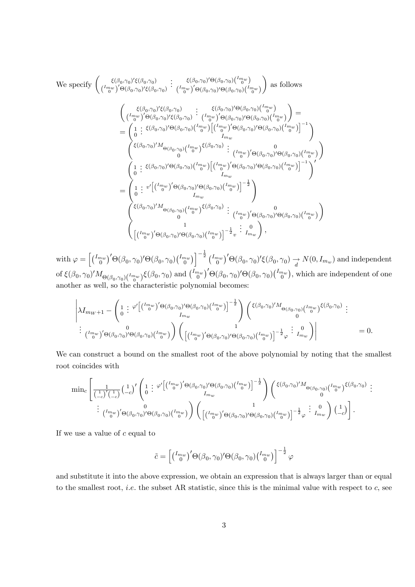We specify 
$$
\begin{pmatrix} \xi(\beta_0, \gamma_0)' \xi(\beta_0, \gamma_0) & \vdots & \xi(\beta_0, \gamma_0)' \Theta(\beta_0, \gamma_0) \left( \frac{I_{m_w}}{0} \right) \\ \frac{I_{m_w}}{0} \end{pmatrix} \cdot \begin{pmatrix} \xi(\beta_0, \gamma_0)' \xi(\beta_0, \gamma_0) & \xi(\beta_0, \gamma_0)' \Theta(\beta_0, \gamma_0) \left( \frac{I_{m_w}}{0} \right) \end{pmatrix}
$$
 as follows  
\n
$$
\begin{pmatrix} \xi(\beta_0, \gamma_0)' \xi(\beta_0, \gamma_0) & \xi(\beta_0, \gamma_0) & \xi(\beta_0, \gamma_0)' \Theta(\beta_0, \gamma_0) \left( \frac{I_{m_w}}{0} \right) \\ \frac{I_{m_w}}{0} \end{pmatrix} = \begin{pmatrix} \xi(\beta_0, \gamma_0)' \xi(\beta_0, \gamma_0) & \xi(\beta_0, \gamma_0)' \Theta(\beta_0, \gamma_0) \left( \frac{I_{m_w}}{0} \right) \\ \frac{I_{m_w}}{0} \end{pmatrix} = \begin{pmatrix} \xi(\beta_0, \gamma_0)' \Theta(\beta_0, \gamma_0) & \xi(\beta_0, \gamma_0) & \xi(\beta_0, \gamma_0) \left( \frac{I_{m_w}}{0} \right) \\ \frac{I_{m_w}}{0} \end{pmatrix} \cdot \begin{pmatrix} \xi(\beta_0, \gamma_0)' \Theta(\beta_0, \gamma_0) & \xi(\beta_0, \gamma_0) \left( \frac{I_{m_w}}{0} \right) \end{pmatrix} \cdot \begin{pmatrix} \xi(\beta_0, \gamma_0)' \Theta(\beta_0, \gamma_0) & \xi(\beta_0, \gamma_0) \left( \frac{I_{m_w}}{0} \right) \\ \frac{I_{m_w}}{0} \end{pmatrix} \cdot \begin{pmatrix} \xi(\beta_0, \gamma_0)' \Theta(\beta_0, \gamma_0) & \xi(\beta_0, \gamma_0) \left( \frac{I_{m_w}}{0} \right) \end{pmatrix} \cdot \begin{pmatrix} \xi(\beta_0, \gamma_0)' \Theta(\beta_0, \gamma_0) & \xi(\beta_0, \gamma_0) \left( \frac{I_{m_w}}{0} \right) \end{pmatrix} \cdot \begin{
$$

with  $\varphi = \left[ \left( \begin{matrix} I_{m_w} \\ 0 \end{matrix} \right)^{\prime} \Theta(\beta_0, \gamma_0)' \Theta(\beta_0, \gamma_0) \left( \begin{matrix} I_{m_w} \\ 0 \end{matrix} \right)^{\prime} \right]^{-\frac{1}{2}} \left( \begin{matrix} I_{m_w} \\ 0 \end{matrix} \right)^{\prime} \Theta(\beta_0, \gamma_0)' \xi(\beta_0, \gamma_0) \rightarrow N(0, I_{m_w})$  and independent of  $\xi(\beta_0, \gamma_0)'M_{\Theta(\beta_0, \gamma_0)\binom{I_{m_w}}{0}}\xi(\beta_0, \gamma_0)$  and  $\binom{I_{m_w}}{0}'\Theta(\beta_0, \gamma_0)'\Theta(\beta_0, \gamma_0)\binom{I_{m_w}}{0}$ , which are independent of one another as well, so the characteristic polynomial becomes:

$$
\left| \lambda I_{m_W+1} - \left( \begin{matrix} 1 & \cdots & \varphi' \left[ \binom{I_{m_W}}{0} & \Theta(\beta_0, \gamma_0)' \Theta(\beta_0, \gamma_0) \binom{I_{m_W}}{0} \right]^{-\frac{1}{2}} \\ I_{m_W} \end{matrix} \right) \binom{\xi(\beta_0, \gamma_0)' M_{\Theta(\beta_0, \gamma_0)} \binom{I_{m_W}}{0} \xi(\beta_0, \gamma_0)}{\binom{I_{m_W}}{0}} \cdot \right|
$$
\n
$$
\vdots \frac{1}{\binom{I_{m_W}}{0}'} \Theta(\beta_0, \gamma_0)' \Theta(\beta_0, \gamma_0) \binom{I_{m_W}}{0} \left( \frac{1}{\binom{I_{m_W}}{0}'} \Theta(\beta_0, \gamma_0)' \Theta(\beta_0, \gamma_0) \binom{I_{m_W}}{0} \right) \left| \right. \tag{1}
$$

We can construct a bound on the smallest root of the above polynomial by noting that the smallest root coincides with

$$
\min_{c} \left[ \frac{1}{\left(\frac{1}{c_c}\right)' \left(\frac{1}{c_c}\right)} \left(\frac{1}{c_c}\right)' \left( \frac{1}{0} \right) \left( \frac{1}{\phi'} \left[ \frac{\left(\frac{Im_w}{\phi}\right)' \Theta(\beta_0, \gamma_0)' \Theta(\beta_0, \gamma_0) \left(\frac{Im_w}{\phi}\right)}{Im_w} \right) \right]^{-\frac{1}{2}} \right) \left( \frac{\xi(\beta_0, \gamma_0)' M_{\Theta(\beta_0, \gamma_0)} \left(\frac{Im_w}{\phi}\right) \xi(\beta_0, \gamma_0) \left(\frac{Im_w}{\phi}\right)}{0} \right)^{\frac{1}{2}} \cdot \frac{1}{\left(\frac{Im_w}{\phi}\right)' \Theta(\beta_0, \gamma_0)' \Theta(\beta_0, \gamma_0) \left(\frac{Im_w}{\phi}\right)} \right) \cdot \left( \frac{1}{\left(\frac{Im_w}{\phi}\right)' \Theta(\beta_0, \gamma_0) \left(\frac{Im_w}{\phi}\right) \left(\frac{Im_w}{\phi}\right) \left(\frac{Im_w}{\phi}\right)} \right) \cdot \frac{1}{\left(\frac{Im_w}{\phi}\right)' \Theta(\beta_0, \gamma_0) \left(\frac{Im_w}{\phi}\right) \left(\frac{Im_w}{\phi}\right)} \cdot \frac{1}{\left(\frac{Im_w}{\phi}\right)' \Theta(\beta_0, \gamma_0) \left(\frac{Im_w}{\phi}\right) \left(\frac{Im_w}{\phi}\right)} \right).
$$

If we use a value of  $c$  equal to

$$
\tilde{c} = \left[ \left( \begin{matrix} I_{mw} \\ 0 \end{matrix} \right)' \Theta(\beta_0, \gamma_0)' \Theta(\beta_0, \gamma_0) \left( \begin{matrix} I_{mw} \\ 0 \end{matrix} \right) \right]^{-\frac{1}{2}} \varphi
$$

and substitute it into the above expression, we obtain an expression that is always larger than or equal to the smallest root, *i.e.* the subset AR statistic, since this is the minimal value with respect to  $c$ , see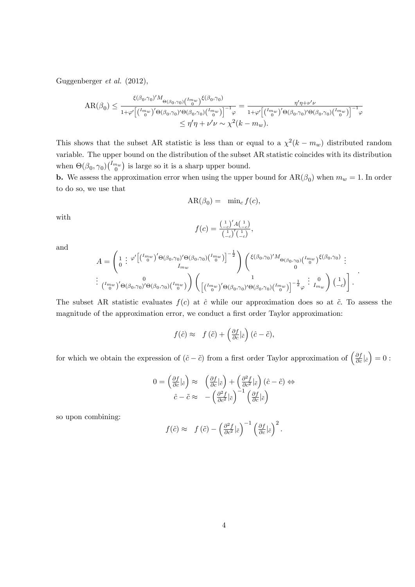Guggenberger et al. (2012),

$$
AR(\beta_0) \leq \frac{\xi(\beta_0, \gamma_0)' M_{\Theta(\beta_0, \gamma_0)} {l_{\theta(\beta_0, \gamma_0)} {l_{\theta(\beta_0, \gamma_0)} {l_{\theta(\beta_0, \gamma_0)} {l_{\theta(\beta_0, \gamma_0)} {l_{\theta(\beta_0, \gamma_0})} {l_{\theta(\beta_0, \gamma_0)} {l_{\theta(\beta_0, \gamma_0})} {l_{\theta(\beta_0, \gamma_0)} {l_{\theta(\beta_0, \gamma_0)} {l_{\theta(\beta_0, \gamma_0)} {l_{\theta(\beta_0, \gamma_0)} {l_{\theta(\beta_0, \gamma_0})} {l_{\theta(\beta_0, \gamma_0)} {l_{\theta(\beta_0, \gamma_0})} }}}} \leq \eta'\eta + \nu'\nu \sim \chi^2(k - m_w).
$$

This shows that the subset AR statistic is less than or equal to a  $\chi^2(k - m_w)$  distributed random variable. The upper bound on the distribution of the subset AR statistic coincides with its distribution when  $\Theta(\beta_0, \gamma_0)$   $\binom{I_{mw}}{0}$  is large so it is a sharp upper bound.

**b.** We assess the approximation error when using the upper bound for  $AR(\beta_0)$  when  $m_w = 1$ . In order to do so, we use that

$$
AR(\beta_0) = \min_c f(c),
$$

with

$$
f(c) = \frac{\binom{1}{-c}^{\prime} A \binom{1}{-c}}{\binom{1}{-c}^{\prime} \binom{1}{-c}},
$$

and

$$
A = \begin{pmatrix} 1 & \varphi' \left[ \binom{I_{m_w}}{0}^{\prime} \Theta(\beta_0, \gamma_0)' \Theta(\beta_0, \gamma_0) \binom{I_{m_w}}{0} \right]^{-\frac{1}{2}} \\ I_{m_w} & \vdots \\ \binom{I_{m_w}}{0}^{\prime} \Theta(\beta_0, \gamma_0)' \Theta(\beta_0, \gamma_0) \binom{I_{m_w}}{0} \end{pmatrix} \begin{pmatrix} \xi(\beta_0, \gamma_0)' M_{\Theta(\beta_0, \gamma_0)} \binom{I_{m_w}}{0} \xi(\beta_0, \gamma_0) \\ 0 & \vdots \\ \left[ \binom{I_{m_w}}{0}^{\prime} \Theta(\beta_0, \gamma_0)' \Theta(\beta_0, \gamma_0) \binom{I_{m_w}}{0} \right]^{-\frac{1}{2}} \varphi & I_{m_w} \end{pmatrix} \begin{pmatrix} 1 \\ -c \end{pmatrix}.
$$

The subset AR statistic evaluates  $f(c)$  at  $\hat{c}$  while our approximation does so at  $\tilde{c}$ . To assess the magnitude of the approximation error, we conduct a first order Taylor approximation:

$$
f(\hat{c}) \approx f(\tilde{c}) + \left(\frac{\partial f}{\partial c}\big|\tilde{c}\right)(\hat{c} - \tilde{c}),
$$

for which we obtain the expression of  $(\hat{c} - \tilde{c})$  from a first order Taylor approximation of  $\left(\frac{\partial f}{\partial c}\right)_{\hat{c}}$  $= 0 :$ 

$$
0 = \left(\frac{\partial f}{\partial c}\Big|_{\hat{c}}\right) \approx \left(\frac{\partial f}{\partial c}\Big|_{\tilde{c}}\right) + \left(\frac{\partial^2 f}{\partial c^2}\Big|_{\tilde{c}}\right)(\hat{c} - \tilde{c}) \Leftrightarrow \n\hat{c} - \tilde{c} \approx -\left(\frac{\partial^2 f}{\partial c^2}\Big|_{\tilde{c}}\right)^{-1} \left(\frac{\partial f}{\partial c}\Big|_{\tilde{c}}\right)
$$

so upon combining:

$$
f(\hat{c}) \approx f(\tilde{c}) - \left(\frac{\partial^2 f}{\partial c^2}|\tilde{c}\right)^{-1} \left(\frac{\partial f}{\partial c}|\tilde{c}\right)^2.
$$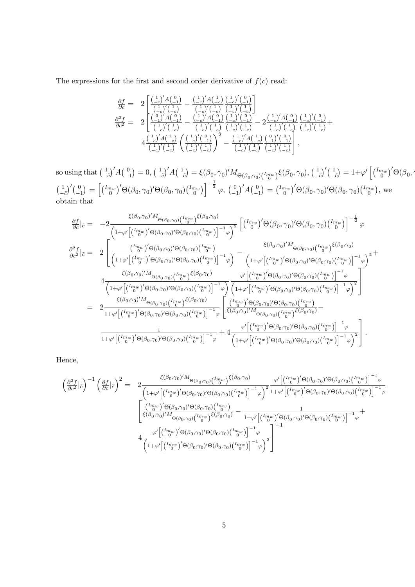The expressions for the first and second order derivative of  $f(c)$  read:

$$
\begin{array}{lll} \frac{\partial f}{\partial c}=&2\left[\frac{\left(\frac{1}{-c}\right)'A\left(\frac{0}{-1}\right)}{\left(\frac{1}{-c}\right)'\left(\frac{1}{-c}\right)}-\frac{\left(\frac{1}{-c}\right)'A\left(\frac{1}{-c}\right)}{\left(\frac{1}{-c}\right)'\left(\frac{1}{-c}\right)}\frac{\left(\frac{1}{-c}\right)'\left(\frac{0}{-1}\right)}{\left(\frac{1}{-c}\right)'\left(\frac{1}{-c}\right)}\right] \\ \frac{\partial^2 f}{\partial c^2}=&2\left[\frac{\left(\frac{0}{-1}\right)'A\left(\frac{0}{-1}\right)}{\left(\frac{1}{-c}\right)'\left(\frac{1}{-c}\right)}-\frac{\left(\frac{1}{-c}\right)'A\left(\frac{0}{-1}\right)}{\left(\frac{1}{-c}\right)'\left(\frac{1}{-c}\right)}\frac{\left(\frac{1}{-c}\right)'\left(\frac{0}{-1}\right)}{\left(\frac{1}{-c}\right)'\left(\frac{1}{-c}\right)}-2\frac{\left(\frac{1}{-c}\right)'A\left(\frac{0}{-1}\right)}{\left(\frac{1}{-c}\right)'\left(\frac{1}{-c}\right)}\frac{\left(\frac{1}{-c}\right)'A\left(\frac{1}{-c}\right)}{\left(\frac{1}{-c}\right)'A\left(\frac{1}{-c}\right)}\frac{\left(\frac{1}{-c}\right)'A\left(\frac{1}{-c}\right)}{\left(\frac{1}{-c}\right)'\left(\frac{1}{-c}\right)}-2\frac{\left(\frac{1}{-c}\right)'A\left(\frac{1}{-c}\right)}{\left(\frac{1}{-c}\right)'\left(\frac{1}{-c}\right)}\right],\end{array}
$$

so using that  $\left(\frac{1}{2}\right)$  $-\tilde{c}$  $)'A(^0$  $^{-1}$  $= 0, \left( \frac{1}{2} \right)$  $-\tilde{c}$  $)^{'}A(^{1}_{-})$  $-\tilde{c}$  $\hat{\xi}(\beta_0, \gamma_0)' M_{\Theta(\beta_0, \gamma_0)}({}^{I_{m_w}}_{0})\xi(\beta_0, \gamma_0),$  (1)  $-\tilde{c}$ )'( $\frac{1}{2}$  $-\tilde{c}$  $\epsilon_{\beta}$ ) = 1+ $\varphi'$   $\left[ \left( \begin{smallmatrix} I_{m_{w}} \ 0 \end{smallmatrix} \right)' \Theta(\beta_0, \gamma) \right]$  $(1)$  $-\tilde{c}$  $\left( \frac{0}{0} \right)$  $^{-1}$  $\mathcal{L}\big) = \left[\binom{I_{m_{w}}}{0}^{\prime}\Theta(\beta_{0},\gamma_{0})^{\prime}\Theta(\beta_{0},\gamma_{0})\binom{I_{m_{w}}}{0}\right]^{-\frac{1}{2}}\varphi,\ \binom{0}{\pi}$  $-1$  $\int' A \left( \frac{0}{a} \right)$  $-1$  $\big) = {\binom{I_{m_{w}}}{0}}' \Theta(\beta_{0}, \gamma_{0})' \Theta(\beta_{0}, \gamma_{0}) {\binom{I_{m_{w}}}{0}}, \text{ we}$ obtain that

$$
\frac{\partial f}{\partial c}\Big|_{\tilde{c}} = -2 \frac{\xi(\beta_0, \gamma_0)' M_{\Theta(\beta_0, \gamma_0)} (\frac{I_{\eta w}}{b}) \xi(\beta_0, \gamma_0)}{\left(1 + \varphi' \left[\left(\frac{I_{\eta w}}{b}\right)' \Theta(\beta_0, \gamma_0) \Theta(\beta_0, \gamma_0) \left(\frac{I_{\eta w}}{b}\right)\right]^{-1} \varphi\right)^2} \left[\left(\frac{I_{\eta w}}{b}\right)' \Theta(\beta_0, \gamma_0) \Theta(\beta_0, \gamma_0) \left(\frac{I_{\eta w}}{b}\right)\right]^{-\frac{1}{2}} \varphi
$$
\n
$$
\frac{\partial^2 f}{\partial c^2}\Big|_{\tilde{c}} = 2 \left[ \frac{\left(\frac{I_{\eta w}}{b}\right)' \Theta(\beta_0, \gamma_0) \Theta(\beta_0, \gamma_0) \left(\frac{I_{\eta w}}{b}\right)}{\left(1 + \varphi' \left[\left(\frac{I_{\eta w}}{b}\right)' \Theta(\beta_0, \gamma_0) \Theta(\beta_0, \gamma_0) \left(\frac{I_{\eta w}}{b}\right)\right]^{-1} \varphi\right)} - \frac{\xi(\beta_0, \gamma_0)' M_{\Theta(\beta_0, \gamma_0)} \left(\frac{I_{\eta w}}{b}\right) \xi(\beta_0, \gamma_0)}{\left(1 + \varphi' \left[\left(\frac{I_{\eta w}}{b}\right)' \Theta(\beta_0, \gamma_0) \left(\frac{I_{\eta w}}{b}\right) \xi(\beta_0, \gamma_0\right)\right]^{-1} \varphi\right)^2} + \frac{\xi(\beta_0, \gamma_0)' M_{\Theta(\beta_0, \gamma_0)} \left(I_{\eta w}\right) \xi(\beta_0, \gamma_0)}{\left(1 + \varphi' \left[\left(\frac{I_{\eta w}}{b}\right)' \Theta(\beta_0, \gamma_0) \Theta(\beta_0, \gamma_0) \left(\frac{I_{\eta w}}{b}\right)\right]^{-1} \varphi\right)^2} \right]} + \frac{\xi(\beta_0, \gamma_0)' M_{\Theta(\beta_0, \gamma_0)} \left(I_{\eta w}\right) \xi(\beta_0, \gamma_0)}{\left(1 + \varphi' \left[\left(\frac{I_{\eta w}}{b}\right)' \Theta(\beta_0, \gamma_
$$

Hence,

$$
\begin{split}\n&\left(\frac{\partial^2 f}{\partial c^2}|\tilde{c}\right)^{-1}\left(\frac{\partial f}{\partial c}|_{\tilde{c}}\right)^2 = 2 \frac{\xi(\beta_0, \gamma_0)' M_{\Theta(\beta_0, \gamma_0)}\left(\frac{I_{m_{w}}}{\delta}\right) \xi(\beta_0, \gamma_0)}{\left(1 + \varphi'\left[\left(\frac{I_{m_{w}}}{\delta}\right)' \Theta(\beta_0, \gamma_0)' \Theta(\beta_0, \gamma_0)\left(\frac{I_{m_{w}}}{\delta}\right)\right]^{-1} \varphi\right)^2} \frac{\varphi'\left[\left(\frac{I_{m_{w}}}{\delta}\right)' \Theta(\beta_0, \gamma_0)' \Theta(\beta_0, \gamma_0)\left(\frac{I_{m_{w}}}{\delta}\right)\right]^{-1} \varphi\right]}{\left[\frac{\left(\frac{I_{m_{w}}}{\delta}\right)' \Theta(\beta_0, \gamma_0)' \Theta(\beta_0, \gamma_0)\left(\frac{I_{m_{w}}}{\delta}\right)}{\xi(\beta_0, \gamma_0)' M_{\Theta(\beta_0, \gamma_0)}\left(\frac{I_{m_{w}}}{\delta}\right) \xi(\beta_0, \gamma_0\right)} - \frac{1}{1 + \varphi'\left[\left(\frac{I_{m_{w}}}{\delta}\right)' \Theta(\beta_0, \gamma_0) \Theta(\beta_0, \gamma_0)\left(\frac{I_{m_{w}}}{\delta}\right)\right]^{-1} \varphi} + \frac{\varphi'\left[\left(\frac{I_{m_{w}}}{\delta}\right)' \Theta(\beta_0, \gamma_0) \Theta(\beta_0, \gamma_0)\left(\frac{I_{m_{w}}}{\delta}\right)\right]^{-1} \varphi}{\left(1 + \varphi'\left[\left(\frac{I_{m_{w}}}{\delta}\right)' \Theta(\beta_0, \gamma_0) \Theta(\beta_0, \gamma_0)\left(\frac{I_{m_{w}}}{\delta}\right)\right]^{-1} \varphi\right)^2}\n\end{split}
$$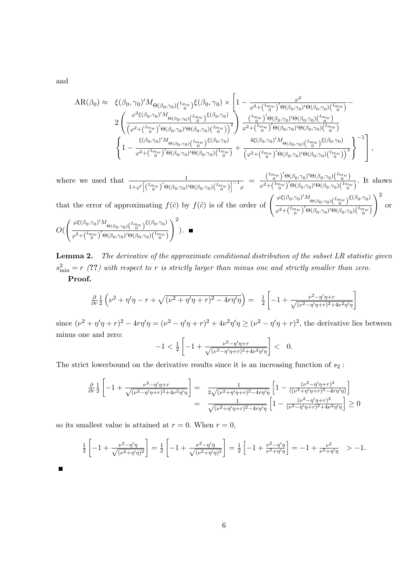and

$$
AR(\beta_0) \approx \xi(\beta_0, \gamma_0)' M_{\Theta(\beta_0, \gamma_0) \left(\frac{I_{m_w}}{0}\right)} \xi(\beta_0, \gamma_0) \times \left[1 - \frac{\varphi^2}{\varphi^2 + \left(\frac{I_{m_w}}{0}\right)' \Theta(\beta_0, \gamma_0)' \Theta(\beta_0, \gamma_0) \left(\frac{I_{m_w}}{0}\right)} - \frac{\varphi^2}{\varphi^2 + \left(\frac{I_{m_w}}{0}\right)' \Theta(\beta_0, \gamma_0)' \Theta(\beta_0, \gamma_0) \left(\frac{I_{m_w}}{0}\right)}\right]} \right]
$$
  

$$
2 \left( \frac{\varphi^2 \xi(\beta_0, \gamma_0) M_{\Theta(\beta_0, \gamma_0)} \left(\frac{I_{m_w}}{0}\right) \xi(\beta_0, \gamma_0)}{\left(\varphi^2 + \left(\frac{I_{m_w}}{0}\right)' \Theta(\beta_0, \gamma_0) \left(\frac{I_{m_w}}{0}\right)\right)^2} \right) \frac{\left(\frac{I_{m_w}}{0}\right)' \Theta(\beta_0, \gamma_0)' \Theta(\beta_0, \gamma_0) \left(\frac{I_{m_w}}{0}\right)}{\varphi^2 + \left(\frac{I_{m_w}}{0}\right)' \Theta(\beta_0, \gamma_0)' \Theta(\beta_0, \gamma_0) \left(\frac{I_{m_w}}{0}\right)} + \frac{4\xi(\beta_0, \gamma_0) M_{\Theta(\beta_0, \gamma_0)} \left(\frac{I_{m_w}}{0}\right) \xi(\beta_0, \gamma_0)}{\left(\varphi^2 + \left(\frac{I_{m_w}}{0}\right)' \Theta(\beta_0, \gamma_0) \left(\frac{I_{m_w}}{0}\right)^2\right)}\right]^{-1} \left[ ,
$$

where we used that  $\frac{1}{1+\varphi'\left[\binom{\frac{Im w}{0}}{0}^{'}\Theta(\beta_0,\gamma_0)'\Theta(\beta_0,\gamma_0)\binom{\frac{Im w}{0}}{0}\right]^{-1} \varphi} = \frac{\binom{Im w}{0}^{'}\Theta(\beta_0,\gamma_0)'\Theta(\beta_0,\gamma_0)\binom{\frac{Im w}{0}}{0}}{\varphi^2+\binom{\frac{Im w}{0}}{0}^{'}\Theta(\beta_0,\gamma_0)'\Theta(\beta_0,\gamma_0)\binom{\frac{Im w}{0}}{0}}$  $\frac{(\phi_0)^{\circ} \sqrt{(\beta_0, \beta_0)^{\circ} (\beta_0, \beta_0)^{\circ} (\beta_0)}}{\phi^2 + \binom{I_{m_w}}{m}}$ . It shows  $\setminus^2$ 

that the error of approximating  $f(\hat{c})$  by  $f(\tilde{c})$  is of the order of  $\left(\frac{\varphi \xi(\beta_0,\gamma_0)' M_{\Theta(\beta_0,\gamma_0)}(\frac{I_{mw}}{\theta}) \xi(\beta_0,\gamma_0)}{\frac{2}{\sqrt{I_{mx}}\sqrt{Q(\beta_0,\gamma_0)}Q(\beta_0,\gamma_0)}\xi(\beta_0,\gamma_0)}\right)$  $\varphi^2{\rm{ + }}\bigl( \frac{{Im_w }}{0}\bigr)'\Theta ( \beta_0 ,\gamma_0)'\Theta ( \beta_0 ,\gamma_0)\bigl( \frac{{Im_w }}{0}\bigr)$ or

$$
O\left(\left(\frac{\varphi\xi(\beta_0,\gamma_0)'M_{\Theta(\beta_0,\gamma_0)}\left(\frac{I_{mw}}{0}\right)\xi(\beta_0,\gamma_0)}{\varphi^2 + \left(\frac{I_{mw}}{0}\right)' \Theta(\beta_0,\gamma_0)' \Theta(\beta_0,\gamma_0)\left(\frac{I_{mw}}{0}\right)}\right)^2\right). \quad \blacksquare
$$

**Lemma 2.** The derivative of the approximate conditional distribution of the subset LR statistic given  $s_{\min}^2 = r$  (??) with respect to r is strictly larger than minus one and strictly smaller than zero. Proof.

$$
\frac{\partial}{\partial r} \frac{1}{2} \left( \nu^2 + \eta' \eta - r + \sqrt{(\nu^2 + \eta' \eta + r)^2 - 4r\eta' \eta} \right) = \frac{1}{2} \left[ -1 + \frac{\nu^2 - \eta' \eta + r}{\sqrt{(\nu^2 - \eta' \eta + r)^2 + 4\nu^2 \eta' \eta}} \right]
$$

since  $(\nu^2 + \eta'\eta + r)^2 - 4r\eta'\eta = (\nu^2 - \eta'\eta + r)^2 + 4\nu^2\eta'\eta \ge (\nu^2 - \eta'\eta + r)^2$ , the derivative lies between minus one and zero:

$$
-1 < \frac{1}{2} \left[ -1 + \frac{\nu^2 - \eta' \eta + r}{\sqrt{(\nu^2 - \eta' \eta + r)^2 + 4\nu^2 \eta' \eta}} \right] < 0.
$$

The strict lowerbound on the derivative results since it is an increasing function of  $s_2$ :

$$
\frac{\partial}{\partial r} \frac{1}{2} \left[ -1 + \frac{\nu^2 - \eta' \eta + r}{\sqrt{(\nu^2 - \eta' \eta + r)^2 + 4\nu^2 \eta' \eta}} \right] = \frac{1}{2\sqrt{(\nu^2 + \eta' \eta + r)^2 - 4r\eta' \eta}} \left[ 1 - \frac{(\nu^2 - \eta' \eta + r)^2}{((\nu^2 + \eta' \eta + r)^2 - 4r\eta' \eta)} \right]
$$

$$
= \frac{1}{\sqrt{(\nu^2 + \eta' \eta + r)^2 - 4r\eta' \eta}} \left[ 1 - \frac{(\nu^2 - \eta' \eta + r)^2}{(\nu^2 - \eta' \eta + r)^2 + 4\nu^2 \eta' \eta} \right] \ge 0
$$

so its smallest value is attained at  $r = 0$ . When  $r = 0$ ,

$$
\frac{1}{2}\left[-1+\frac{\nu^2-\eta'\eta}{\sqrt{(\nu^2+\eta'\eta)^2}}\right] = \frac{1}{2}\left[-1+\frac{\nu^2-\eta'\eta}{\sqrt{(\nu^2+\eta'\eta)^2}}\right] = \frac{1}{2}\left[-1+\frac{\nu^2-\eta'\eta}{\nu^2+\eta'\eta}\right] = -1+\frac{\nu^2}{\nu^2+\eta'\eta} > -1.
$$

 $\blacksquare$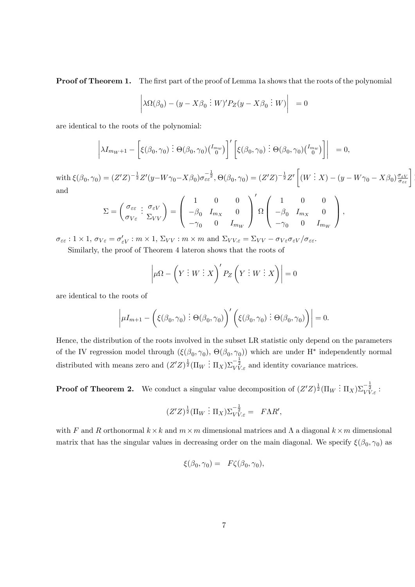**Proof of Theorem 1.** The first part of the proof of Lemma 1a shows that the roots of the polynomial

$$
\left|\lambda \Omega(\beta_0) - (y - X\beta_0 \,:\, W)' P_Z(y - X\beta_0 \,:\, W)\right| = 0
$$

are identical to the roots of the polynomial:

$$
\left|\lambda I_{m_W+1} - \left[\xi(\beta_0,\gamma_0) \, \vdots \, \Theta(\beta_0,\gamma_0) \begin{pmatrix}I_{m_W}\\0\end{pmatrix}\right]'\left[\xi(\beta_0,\gamma_0) \, \vdots \, \Theta(\beta_0,\gamma_0) \begin{pmatrix}I_{m_W}\\0\end{pmatrix}\right]\right| = 0,
$$

with  $\xi(\beta_0, \gamma_0) = (Z'Z)^{-\frac{1}{2}}Z'(y - W\gamma_0 - X\beta_0)\sigma_{\varepsilon\varepsilon}^{-\frac{1}{2}}, \Theta(\beta_0, \gamma_0) = (Z'Z)^{-\frac{1}{2}}Z'\left[$  $(W \stackrel{\cdot}{\colon} X) - (y - W\gamma_0 - X\beta_0) \frac{\sigma_{\varepsilon V}}{\sigma_{\varepsilon \varepsilon}}$ and

 $\overline{a}$ 

$$
\Sigma = \begin{pmatrix} \sigma_{\varepsilon\varepsilon} & \sigma_{\varepsilon V} \\ \sigma_{V\varepsilon} & \Sigma_{VV} \end{pmatrix} = \begin{pmatrix} 1 & 0 & 0 \\ -\beta_0 & I_{m_X} & 0 \\ -\gamma_0 & 0 & I_{m_W} \end{pmatrix} \Omega \begin{pmatrix} 1 & 0 & 0 \\ -\beta_0 & I_{m_X} & 0 \\ -\gamma_0 & 0 & I_{m_W} \end{pmatrix},
$$

 $\sigma_{\varepsilon\varepsilon}: 1 \times 1, \sigma_{V\varepsilon} = \sigma'_{\varepsilon V} : m \times 1, \, \Sigma_{VV} : m \times m$  and  $\Sigma_{VV,\varepsilon} = \Sigma_{VV} - \sigma_{V\varepsilon}\sigma_{\varepsilon V}/\sigma_{\varepsilon\varepsilon}$ .

Similarly, the proof of Theorem 4 lateron shows that the roots of

$$
\left|\mu\Omega - \left(Y : W : X\right)' P_Z \left(Y : W : X\right)\right| = 0
$$

are identical to the roots of

$$
\left|\mu I_{m+1} - \left(\xi(\beta_0, \gamma_0) \vdots \Theta(\beta_0, \gamma_0)\right)'\left(\xi(\beta_0, \gamma_0) \vdots \Theta(\beta_0, \gamma_0)\right)\right| = 0.
$$

Hence, the distribution of the roots involved in the subset LR statistic only depend on the parameters of the IV regression model through  $(\xi(\beta_0, \gamma_0), \Theta(\beta_0, \gamma_0))$  which are under H<sup>\*</sup> independently normal distributed with means zero and  $(Z'Z)^{\frac{1}{2}}(\Pi_W : \Pi_X)\Sigma_{VV,\varepsilon}^{-\frac{1}{2}}$  and identity covariance matrices.

**Proof of Theorem 2.** We conduct a singular value decomposition of  $(Z'Z)^{\frac{1}{2}}(\Pi_W : \Pi_X)\Sigma_{VV,\varepsilon}^{-\frac{1}{2}}$ .

$$
(Z'Z)^{\frac{1}{2}}(\Pi_W : \Pi_X)\Sigma_{VV,\varepsilon}^{-\frac{1}{2}} = F\Lambda R',
$$

with F and R orthonormal  $k \times k$  and  $m \times m$  dimensional matrices and  $\Lambda$  a diagonal  $k \times m$  dimensional matrix that has the singular values in decreasing order on the main diagonal. We specify  $\xi(\beta_0, \gamma_0)$  as

$$
\xi(\beta_0, \gamma_0) = F\zeta(\beta_0, \gamma_0),
$$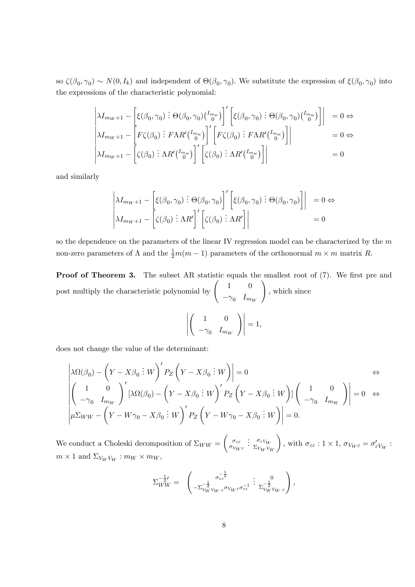so  $\zeta(\beta_0, \gamma_0) \sim N(0, I_k)$  and independent of  $\Theta(\beta_0, \gamma_0)$ . We substitute the expression of  $\xi(\beta_0, \gamma_0)$  into the expressions of the characteristic polynomial:

$$
\begin{vmatrix}\n\lambda I_{m_W+1} - \left[ \xi(\beta_0, \gamma_0) : \Theta(\beta_0, \gamma_0) \binom{I_{m_W}}{0} \right]' \left[ \xi(\beta_0, \gamma_0) : \Theta(\beta_0, \gamma_0) \binom{I_{m_W}}{0} \right] \right] & = 0 \Leftrightarrow \\
\lambda I_{m_W+1} - \left[ F \zeta(\beta_0) : F \Lambda R' \binom{I_{m_W}}{0} \right]' \left[ F \zeta(\beta_0) : F \Lambda R' \binom{I_{m_W}}{0} \right] \right| & = 0 \Leftrightarrow \\
\lambda I_{m_W+1} - \left[ \zeta(\beta_0) : \Lambda R' \binom{I_{m_W}}{0} \right]' \left[ \zeta(\beta_0) : \Lambda R' \binom{I_{m_W}}{0} \right] \right| & = 0
$$

and similarly

$$
\begin{vmatrix} \lambda I_{m_W+1} - \left[ \xi(\beta_0, \gamma_0) \vdots \Theta(\beta_0, \gamma_0) \right]' \left[ \xi(\beta_0, \gamma_0) \vdots \Theta(\beta_0, \gamma_0) \right] \right] & = 0 \Leftrightarrow \\ \lambda I_{m_W+1} - \left[ \zeta(\beta_0) \vdots \Lambda R' \right]' \left[ \zeta(\beta_0) \vdots \Lambda R' \right] \right] & = 0 \end{vmatrix}
$$

so the dependence on the parameters of the linear IV regression model can be characterized by the  $m$ non-zero parameters of  $\Lambda$  and the  $\frac{1}{2}m(m-1)$  parameters of the orthonormal  $m \times m$  matrix R.

**Proof of Theorem 3.** The subset AR statistic equals the smallest root of  $(7)$ . We first pre and post multiply the characteristic polynomial by  $\begin{pmatrix} 1 & 0 \\ 0 & 0 \end{pmatrix}$  $-\gamma_0$   $I_{m_W}$  $\lambda$ ; which since

$$
\left|\left(\begin{array}{cc} 1 & 0 \\ -\gamma_0 & I_{m_W} \end{array}\right)\right|=1,
$$

does not change the value of the determinant:

$$
\begin{vmatrix} \lambda \Omega(\beta_0) - \left( Y - X\beta_0 : W \right)' P_Z \left( Y - X\beta_0 : W \right) \Big| = 0 & \Leftrightarrow \\ \left( \begin{array}{cc} 1 & 0 \\ -\gamma_0 & I_{m_W} \end{array} \right)' \left[ \lambda \Omega(\beta_0) - \left( Y - X\beta_0 : W \right)' P_Z \left( Y - X\beta_0 : W \right) \right] \left( \begin{array}{cc} 1 & 0 \\ -\gamma_0 & I_{m_W} \end{array} \right) \Big| = 0 & \Leftrightarrow \\ \mu \Sigma_{WW} - \left( Y - W\gamma_0 - X\beta_0 : W \right)' P_Z \left( Y - W\gamma_0 - X\beta_0 : W \right) \Big| = 0. \end{vmatrix}
$$

We conduct a Choleski decomposition of  $\Sigma_{WW} =$  $\int \sigma_{\varepsilon \varepsilon}$  $\sigma_{V_W \varepsilon}$  $\colon \sigma_{\varepsilon} V_W$  $\Sigma_{V_W V_W}$  $\lambda$ , with  $\sigma_{\varepsilon\varepsilon} : 1 \times 1$ ,  $\sigma_{V_W \varepsilon} = \sigma'_{\varepsilon V_W}$ :  $m \times 1$  and  $\Sigma_{V_W V_W} : m_W \times m_W$ ,

$$
\Sigma_{WW}^{-\frac{1}{2}\prime} = \begin{pmatrix} -\frac{1}{2} & 0 \\ -\Sigma_{V_W}^{-\frac{1}{2}}V_{W\cdot\varepsilon}\sigma_{V_W\varepsilon}\sigma_{\varepsilon\varepsilon}^{-1} & \Sigma_{V_WV_W\cdot\varepsilon}^{-\frac{1}{2}} \end{pmatrix},
$$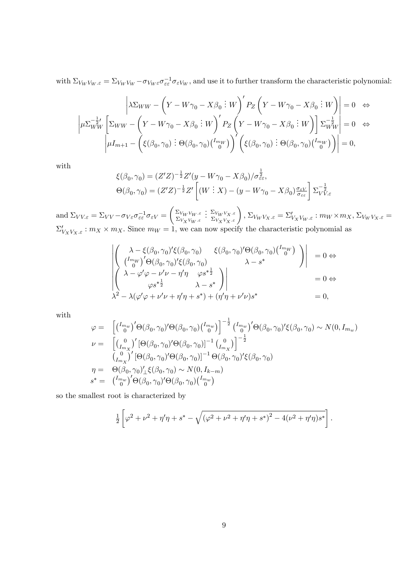with  $\Sigma_{V_W V_W \dots \varepsilon} = \Sigma_{V_W V_W} - \sigma_{V_W \varepsilon} \sigma_{\varepsilon \varepsilon}^{-1} \sigma_{\varepsilon V_W}$ , and use it to further transform the characteristic polynomial:

$$
\left| \lambda \Sigma_{WW} - \left( Y - W\gamma_0 - X\beta_0 \, \vdots \, W \right)' P_Z \left( Y - W\gamma_0 - X\beta_0 \, \vdots \, W \right) \right| = 0 \quad \Leftrightarrow
$$
\n
$$
\left| \mu \Sigma_{WW}^{-\frac{1}{2} \prime} \left[ \Sigma_{WW} - \left( Y - W\gamma_0 - X\beta_0 \, \vdots \, W \right)' P_Z \left( Y - W\gamma_0 - X\beta_0 \, \vdots \, W \right) \right] \Sigma_{WW}^{-\frac{1}{2}} \right| = 0 \quad \Leftrightarrow
$$
\n
$$
\left| \mu I_{m+1} - \left( \xi(\beta_0, \gamma_0) \, \vdots \, \Theta(\beta_0, \gamma_0) \left( \begin{matrix} I_{mW} \\ 0 \end{matrix} \right) \right)' \left( \xi(\beta_0, \gamma_0) \, \vdots \, \Theta(\beta_0, \gamma_0) \left( \begin{matrix} I_{mW} \\ 0 \end{matrix} \right) \right) \right| = 0,
$$

with

$$
\xi(\beta_0, \gamma_0) = (Z'Z)^{-\frac{1}{2}}Z'(y - W\gamma_0 - X\beta_0)/\sigma_{\varepsilon\varepsilon}^{\frac{1}{2}},
$$
  
\n
$$
\Theta(\beta_0, \gamma_0) = (Z'Z)^{-\frac{1}{2}}Z'\left[(W \vdots X) - (y - W\gamma_0 - X\beta_0)\frac{\sigma_{\varepsilon V}}{\sigma_{\varepsilon\varepsilon}}\right]\Sigma_{VV,\varepsilon}^{-\frac{1}{2}}
$$

and  $\Sigma_{VV\epsilon} = \Sigma_{VV} - \sigma_{V\epsilon}\sigma_{\epsilon\epsilon}^{-1}\sigma_{\epsilon V}$  =  $\int \Sigma_{V_W V_W . \varepsilon}$  $\Sigma_{V_XV_W.s}$  $\left\{ : \frac{\Sigma_{V_WV_X. \varepsilon}}{\Sigma_{V_XV_X. \varepsilon}} \right\}, \, \Sigma_{V_WV_X. \varepsilon} = \Sigma'_{V_XV_W. \varepsilon} : m_W \times m_X, \, \Sigma_{V_WV_X. \varepsilon} =$  $\Sigma'_{V_XV_X,\varepsilon}: m_X \times m_X$ . Since  $m_W = 1$ , we can now specify the characteristic polynomial as

$$
\begin{vmatrix}\n\lambda - \xi(\beta_0, \gamma_0)' \xi(\beta_0, \gamma_0) & \xi(\beta_0, \gamma_0)' \Theta(\beta_0, \gamma_0) \binom{I_{m_W}}{0} \\
\begin{pmatrix}\n\frac{I_{m_W}}{0} & \beta \Theta(\beta_0, \gamma_0)' \xi(\beta_0, \gamma_0) & \lambda - s^* \\
\lambda - \varphi' \varphi - \nu' \nu - \eta' \eta & \varphi s^* \frac{1}{2} \\
\varphi s^{* \frac{1}{2}} & \lambda - s^* \\
\lambda^2 - \lambda(\varphi' \varphi + \nu' \nu + \eta' \eta + s^*) + (\eta' \eta + \nu' \nu) s^* & = 0,\n\end{pmatrix}\n\end{vmatrix} = 0 \Leftrightarrow
$$

with

$$
\varphi = \begin{bmatrix} {I_{m_w}}' & { \Theta(\beta_0, \gamma_0)' \Theta(\beta_0, \gamma_0) {I_{m_w}} } \\ {I_{m_x}}' & { \Theta(\beta_0, \gamma_0)' \Theta(\beta_0, \gamma_0) } \end{bmatrix}^{-\frac{1}{2}} {I_{m_w}}' & { \Theta(\beta_0, \gamma_0)' \xi(\beta_0, \gamma_0) \sim N(0, I_{m_w})} \\ \nu = \begin{bmatrix} {I_{m_x}}' & { \Theta(\beta_0, \gamma_0)' \Theta(\beta_0, \gamma_0) }^{-1} (I_{m_x}) \\ {I_{m_x}}' & { \Theta(\beta_0, \gamma_0)' \Theta(\beta_0, \gamma_0) }^{-1} \Theta(\beta_0, \gamma_0)' \xi(\beta_0, \gamma_0) \end{bmatrix}^{-\frac{1}{2}} \\ \eta = \Theta(\beta_0, \gamma_0)' {\underline{\xi(\beta_0, \gamma_0) \sim N(0, I_{k-m})} } \\ s^* = \begin{bmatrix} {I_{m_w}}' & { \Theta(\beta_0, \gamma_0)' \Theta(\beta_0, \gamma_0) {I_{m_w}} } \\ {I_{m_w}}' & { \Theta(\beta_0, \gamma_0)' \Theta(\beta_0, \gamma_0) {I_{m_w}} } \end{bmatrix}
$$

so the smallest root is characterized by

$$
\frac{1}{2} \left[ \varphi^2 + \nu^2 + \eta' \eta + s^* - \sqrt{(\varphi^2 + \nu^2 + \eta' \eta + s^*)^2 - 4(\nu^2 + \eta' \eta) s^*} \right].
$$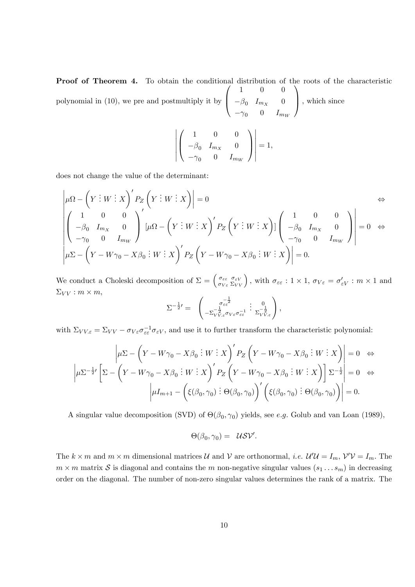Proof of Theorem 4. To obtain the conditional distribution of the roots of the characteristic polynomial in (10), we pre and postmultiply it by  $\sqrt{ }$  $\overline{ }$ 1 0 0  $-\beta_0$   $I_{m_X}$  0  $-\gamma_0$  0  $I_{m_W}$ 1  $\Big\}$ , which since

$$
\left| \left( \begin{array}{ccc} 1 & 0 & 0 \\ -\beta_0 & I_{m_X} & 0 \\ -\gamma_0 & 0 & I_{m_W} \end{array} \right) \right| = 1,
$$

does not change the value of the determinant:

$$
\begin{vmatrix} \mu\Omega - \left(Y:W:X\right)^{\prime}P_{Z}\left(Y:W:X\right) \Big| = 0 & \Leftrightarrow \\ \left(\begin{array}{ccc} 1 & 0 & 0 \\ -\beta_{0} & I_{m_{X}} & 0 \\ -\gamma_{0} & 0 & I_{m_{W}} \end{array}\right)^{\prime} \left[\mu\Omega - \left(Y:W:X\right)^{\prime}P_{Z}\left(Y:W:X\right)\right] \left(\begin{array}{ccc} 1 & 0 & 0 \\ -\beta_{0} & I_{m_{X}} & 0 \\ -\gamma_{0} & 0 & I_{m_{W}} \end{array}\right)\right] = 0 & \Leftrightarrow \\ \left|\mu\Sigma - \left(Y - W\gamma_{0} - X\beta_{0}:W:X\right)^{\prime}P_{Z}\left(Y - W\gamma_{0} - X\beta_{0}:W:X\right)\right| = 0. \end{vmatrix}
$$

We conduct a Choleski decomposition of  $\Sigma = \begin{pmatrix} \sigma_{\varepsilon\varepsilon} \\ \sigma_{\varepsilon\sigma} \end{pmatrix}$  $\sigma_{V \varepsilon}$  $\begin{bmatrix} \sigma_{\varepsilon V} \\ \Sigma_{VV} \end{bmatrix}$ , with  $\sigma_{\varepsilon \varepsilon}$  :  $1 \times 1$ ,  $\sigma_{V \varepsilon} = \sigma'_{\varepsilon V}$  :  $m \times 1$  and  $\Sigma_{VV}: m \times m,$ 

$$
\Sigma^{-\frac{1}{2}'} = \begin{pmatrix} \sigma_{\varepsilon\varepsilon}^{-\frac{1}{2}} & 0 \\ -\Sigma_{VV,\varepsilon}^{-\frac{1}{2}} \sigma_{V\varepsilon} \sigma_{\varepsilon\varepsilon}^{-1} & \Sigma_{VV,\varepsilon}^{-\frac{1}{2}} \end{pmatrix},
$$

with  $\Sigma_{VV,\varepsilon} = \Sigma_{VV} - \sigma_{V\varepsilon}\sigma_{\varepsilon\varepsilon}^{-1} \sigma_{\varepsilon V}$ , and use it to further transform the characteristic polynomial:

$$
\left| \mu \Sigma - \left( Y - W\gamma_0 - X\beta_0 \, \vdots \, W \, \vdots \, X \right)' P_Z \left( Y - W\gamma_0 - X\beta_0 \, \vdots \, W \, \vdots \, X \right) \right| = 0 \quad \Leftrightarrow
$$
\n
$$
\left| \mu \Sigma^{-\frac{1}{2} \prime} \left[ \Sigma - \left( Y - W\gamma_0 - X\beta_0 \, \vdots \, W \, \vdots \, X \right)' P_Z \left( Y - W\gamma_0 - X\beta_0 \, \vdots \, W \, \vdots \, X \right) \right] \Sigma^{-\frac{1}{2}} \right| = 0 \quad \Leftrightarrow
$$
\n
$$
\left| \mu I_{m+1} - \left( \xi(\beta_0, \gamma_0) \, \vdots \, \Theta(\beta_0, \gamma_0) \right)' \left( \xi(\beta_0, \gamma_0) \, \vdots \, \Theta(\beta_0, \gamma_0) \right) \right| = 0.
$$

A singular value decomposition (SVD) of  $\Theta(\beta_0, \gamma_0)$  yields, see e.g. Golub and van Loan (1989),

$$
\Theta(\beta_0, \gamma_0) = \mathcal{U} \mathcal{S} \mathcal{V}'.
$$

The  $k \times m$  and  $m \times m$  dimensional matrices U and V are orthonormal, *i.e.*  $\mathcal{U}'\mathcal{U} = I_m$ ,  $\mathcal{V}'\mathcal{V} = I_m$ . The  $m \times m$  matrix S is diagonal and contains the m non-negative singular values  $(s_1 \ldots s_m)$  in decreasing order on the diagonal. The number of non-zero singular values determines the rank of a matrix. The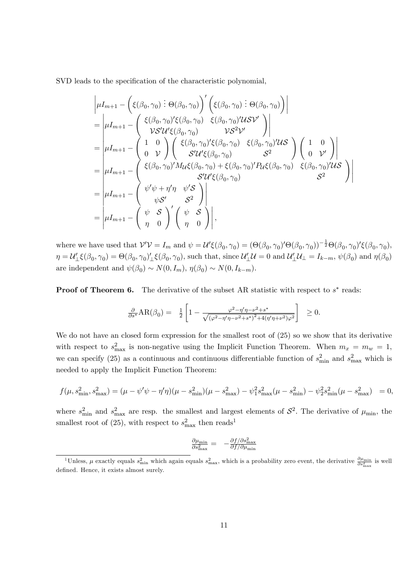SVD leads to the specification of the characteristic polynomial,

$$
\begin{aligned}\n&\left|\mu I_{m+1} - \left(\xi(\beta_0, \gamma_0) \right) \phi(\beta_0, \gamma_0)\right) \left(\xi(\beta_0, \gamma_0) \right) \phi(\beta_0, \gamma_0)\right| \\
&= \left|\mu I_{m+1} - \left(\frac{\xi(\beta_0, \gamma_0) \zeta(\beta_0, \gamma_0)}{\gamma \zeta \gamma \zeta(\beta_0, \gamma_0)} \right)\right| \\
&= \left|\mu I_{m+1} - \left(\frac{1}{\rho} \frac{1}{\gamma \zeta \zeta(\beta_0, \gamma_0)} \right) \left(\frac{\zeta(\beta_0, \gamma_0) \zeta(\beta_0, \gamma_0)}{\zeta \gamma \zeta \zeta(\beta_0, \gamma_0)} \right)\right| \\
&= \left|\mu I_{m+1} - \left(\frac{\zeta(\beta_0, \gamma_0) \zeta(\beta_0, \gamma_0)}{\zeta \gamma \zeta \zeta(\beta_0, \gamma_0)} + \xi(\beta_0, \gamma_0) \zeta(\beta_0, \gamma_0)} \right)\right|\n\\
&= \left|\mu I_{m+1} - \left(\frac{\zeta(\beta_0, \gamma_0) \zeta(\beta_0, \gamma_0)}{\zeta \gamma \zeta \zeta(\beta_0, \gamma_0)}\right)\right| \\
&= \left|\mu I_{m+1} - \left(\frac{\psi \zeta \zeta}{\psi \zeta \zeta} \right)\right| \\
&= \left|\mu I_{m+1} - \left(\frac{\psi \zeta \zeta}{\psi \zeta \zeta} \right) \left(\frac{\psi \zeta \zeta}{\eta \zeta \zeta} \right)\right|, \n\end{aligned}
$$

where we have used that  $\mathcal{V}'\mathcal{V} = I_m$  and  $\psi = \mathcal{U}'\xi(\beta_0, \gamma_0) = (\Theta(\beta_0, \gamma_0)'\Theta(\beta_0, \gamma_0))^{-\frac{1}{2}}\Theta(\beta_0, \gamma_0)'\xi(\beta_0, \gamma_0)$ ,  $\eta=\mathcal{U}'_{\perp}\xi(\beta_0,\gamma_0)=\Theta(\beta_0,\gamma_0)'_{\perp}\xi(\beta_0,\gamma_0)$ , such that, since  $\mathcal{U}'_{\perp}\mathcal{U}=0$  and  $\mathcal{U}'_{\perp}\mathcal{U}_{\perp}=I_{k-m},$   $\psi(\beta_0)$  and  $\eta(\beta_0)$ are independent and  $\psi(\beta_0) \sim N(0, I_m)$ ,  $\eta(\beta_0) \sim N(0, I_{k-m})$ .

**Proof of Theorem 6.** The derivative of the subset AR statistic with respect to  $s^*$  reads:

$$
\frac{\partial}{\partial s^*}AR(\beta_0) = \frac{1}{2} \left[ 1 - \frac{\varphi^2 - \eta' \eta - \nu^2 + s^*}{\sqrt{(\varphi^2 - \eta' \eta - \nu^2 + s^*)^2 + 4(\eta' \eta + \nu^2)\varphi^2}} \right] \ge 0.
$$

We do not have an closed form expression for the smallest root of  $(25)$  so we show that its derivative with respect to  $s_{\text{max}}^2$  is non-negative using the Implicit Function Theorem. When  $m_x = m_w = 1$ , we can specify (25) as a continuous and continuous differentiable function of  $s_{\text{min}}^2$  and  $s_{\text{max}}^2$  which is needed to apply the Implicit Function Theorem:

$$
f(\mu, s_{\min}^2, s_{\max}^2) = (\mu - \psi'\psi - \eta'\eta)(\mu - s_{\min}^2)(\mu - s_{\max}^2) - \psi_1^2 s_{\max}^2(\mu - s_{\min}^2) - \psi_2^2 s_{\min}^2(\mu - s_{\max}^2) = 0,
$$

where  $s_{\min}^2$  and  $s_{\max}^2$  are resp. the smallest and largest elements of  $S^2$ . The derivative of  $\mu_{\min}$ , the smallest root of (25), with respect to  $s_{\text{max}}^2$  then reads<sup>1</sup>

$$
\tfrac{\partial \mu_{\min}}{\partial s^2_{\max}} = \ -\tfrac{\partial f/\partial s^2_{\max}}{\partial f/\partial \mu_{\min}}
$$

<sup>&</sup>lt;sup>1</sup>Unless,  $\mu$  exactly equals  $s_{\min}^2$  which again equals  $s_{\max}^2$ , which is a probability zero event, the derivative  $\frac{\partial \mu_{\min}}{\partial s_{\max}^2}$  is well defined. Hence, it exists almost surely.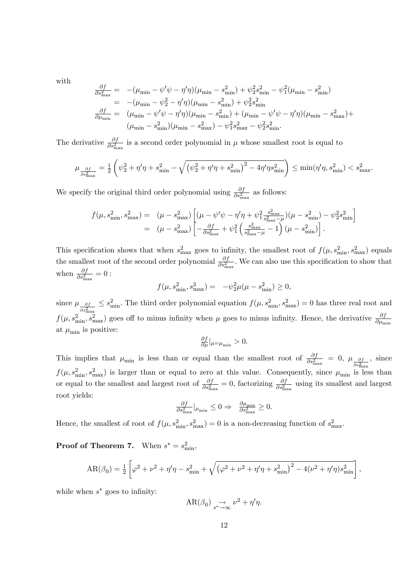with

$$
\frac{\partial f}{\partial s_{\max}^2} = -(\mu_{\min} - \psi' \psi - \eta' \eta)(\mu_{\min} - s_{\min}^2) + \psi_2^2 s_{\min}^2 - \psi_1^2 (\mu_{\min} - s_{\min}^2)
$$
\n
$$
= -(\mu_{\min} - \psi_2^2 - \eta' \eta)(\mu_{\min} - s_{\min}^2) + \psi_2^2 s_{\min}^2
$$
\n
$$
\frac{\partial f}{\partial \mu_{\min}} = (\mu_{\min} - \psi' \psi - \eta' \eta)(\mu_{\min} - s_{\min}^2) + (\mu_{\min} - \psi' \psi - \eta' \eta)(\mu_{\min} - s_{\max}^2) + (\mu_{\min} - s_{\min}^2)(\mu_{\min} - s_{\max}^2) - \psi_1^2 s_{\max}^2 - \psi_2^2 s_{\min}^2.
$$

The derivative  $\frac{\partial f}{\partial s_{\text{max}}^2}$  is a second order polynomial in  $\mu$  whose smallest root is equal to

$$
\mu_{\frac{\partial f}{\partial s_{\max}^2}} = \frac{1}{2} \left( \psi_2^2 + \eta' \eta + s_{\min}^2 - \sqrt{\left(\psi_2^2 + \eta' \eta + s_{\min}^2\right)^2 - 4\eta' \eta s_{\min}^2} \right) \le \min(\eta' \eta, s_{\min}^2) < s_{\max}^2.
$$

We specify the original third order polynomial using  $\frac{\partial f}{\partial s_{\text{max}}^2}$  as follows:

$$
f(\mu, s_{\min}^2, s_{\max}^2) = (\mu - s_{\max}^2) \left[ (\mu - \psi'\psi - \eta'\eta + \psi_1^2 \frac{s_{\max}^2}{s_{\max}^2 - \mu})(\mu - s_{\min}^2) - \psi_2^2 s_{\min}^2 \right]
$$
  
= 
$$
(\mu - s_{\max}^2) \left[ -\frac{\partial f}{\partial s_{\max}^2} + \psi_1^2 \left( \frac{s_{\max}^2}{s_{\max}^2 - \mu} - 1 \right) (\mu - s_{\min}^2) \right].
$$

This specification shows that when  $s_{\text{max}}^2$  goes to infinity, the smallest root of  $f(\mu, s_{\text{min}}^2, s_{\text{max}}^2)$  equals the smallest root of the second order polynomial  $\frac{\partial f}{\partial s_{\text{max}}^2}$ . We can also use this specification to show that when  $\frac{\partial f}{\partial s_{\max}^2} = 0$ :

$$
f(\mu, s_{\min}^2, s_{\max}^2) = -\psi_2^2 \mu(\mu - s_{\min}^2) \ge 0,
$$

since  $\mu_{\_\partial f}$  $\frac{\partial f}{\partial s_{\max}^2} \leq s_{\min}^2$ . The third order polynomial equation  $f(\mu, s_{\min}^2, s_{\max}^2) = 0$  has three real root and  $f(\mu, s_{\min}^2, s_{\max}^2)$  goes off to minus infinity when  $\mu$  goes to minus infinity. Hence, the derivative  $\frac{\partial f}{\partial \mu_{\min}}$ at  $\mu_{\min}$  is positive:

$$
\frac{\partial f}{\partial \mu}|_{\mu=\mu_{\min}} > 0.
$$

This implies that  $\mu_{\min}$  is less than or equal than the smallest root of  $\frac{\partial f}{\partial s_{\max}^2} = 0$ ,  $\mu_{\frac{\partial f}{\partial s^2}}$  $\overline{\partial s_{\max}^2}$ ; since  $f(\mu, s_{\min}^2, s_{\max}^2)$  is larger than or equal to zero at this value. Consequently, since  $\mu_{\min}$  is less than or equal to the smallest and largest root of  $\frac{\partial f}{\partial s_{\text{max}}^2} = 0$ , factorizing  $\frac{\partial f}{\partial s_{\text{max}}^2}$  using its smallest and largest root yields:

$$
\tfrac{\partial f}{\partial s^2_{\max}}|_{\mu_{\min}} \leq 0 \Rightarrow \quad \tfrac{\partial \mu_{\min}}{\partial s^2_{\max}} \geq 0.
$$

Hence, the smallest of root of  $f(\mu, s_{\min}^2, s_{\max}^2) = 0$  is a non-decreasing function of  $s_{\max}^2$ .

**Proof of Theorem 7.** When  $s^* = s_{\min}^2$ ,

$$
AR(\beta_0) = \frac{1}{2} \left[ \varphi^2 + \nu^2 + \eta' \eta - s_{\min}^2 + \sqrt{(\varphi^2 + \nu^2 + \eta' \eta + s_{\min}^2)^2 - 4(\nu^2 + \eta' \eta) s_{\min}^2} \right],
$$

while when  $s^*$  goes to infinity:

$$
\text{AR}(\beta_0) \underset{s^* \to \infty}{\to} \nu^2 + \eta' \eta.
$$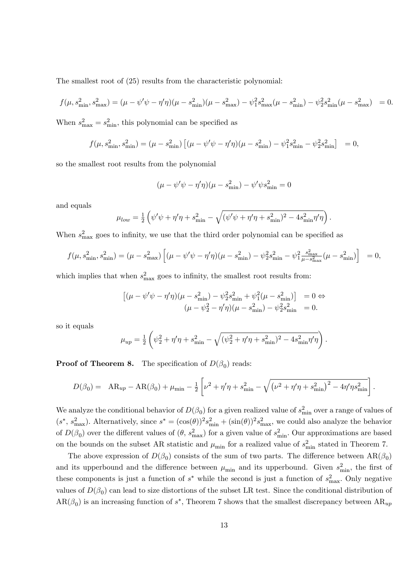The smallest root of (25) results from the characteristic polynomial:

$$
f(\mu, s_{\min}^2, s_{\max}^2) = (\mu - \psi' \psi - \eta' \eta)(\mu - s_{\min}^2)(\mu - s_{\max}^2) - \psi_1^2 s_{\max}^2 (\mu - s_{\min}^2) - \psi_2^2 s_{\min}^2 (\mu - s_{\max}^2) = 0.
$$

When  $s_{\text{max}}^2 = s_{\text{min}}^2$ , this polynomial can be specified as

$$
f(\mu, s_{\min}^2, s_{\min}^2) = (\mu - s_{\min}^2) \left[ (\mu - \psi' \psi - \eta' \eta) (\mu - s_{\min}^2) - \psi_1^2 s_{\min}^2 - \psi_2^2 s_{\min}^2 \right] = 0,
$$

so the smallest root results from the polynomial

$$
(\mu - \psi'\psi - \eta'\eta)(\mu - s_{\min}^2) - \psi'\psi s_{\min}^2 = 0
$$

and equals

$$
\mu_{low} = \frac{1}{2} \left( \psi' \psi + \eta' \eta + s_{\min}^2 - \sqrt{(\psi' \psi + \eta' \eta + s_{\min}^2)^2 - 4s_{\min}^2 \eta' \eta} \right).
$$

When  $s_{\text{max}}^2$  goes to infinity, we use that the third order polynomial can be specified as

$$
f(\mu, s_{\min}^2, s_{\min}^2) = (\mu - s_{\max}^2) \left[ (\mu - \psi' \psi - \eta' \eta) (\mu - s_{\min}^2) - \psi_2^2 s_{\min}^2 - \psi_1^2 \frac{s_{\max}^2}{\mu - s_{\max}^2} (\mu - s_{\min}^2) \right] = 0,
$$

which implies that when  $s_{\text{max}}^2$  goes to infinity, the smallest root results from:

$$
\left[ (\mu - \psi' \psi - \eta' \eta) (\mu - s_{\min}^2) - \psi_2^2 s_{\min}^2 + \psi_1^2 (\mu - s_{\min}^2) \right] = 0 \Leftrightarrow (\mu - \psi_2^2 - \eta' \eta) (\mu - s_{\min}^2) - \psi_2^2 s_{\min}^2 = 0.
$$

so it equals

$$
\mu_{up} = \frac{1}{2} \left( \psi_2^2 + \eta' \eta + s_{\min}^2 - \sqrt{(\psi_2^2 + \eta' \eta + s_{\min}^2)^2 - 4s_{\min}^2 \eta' \eta} \right).
$$

**Proof of Theorem 8.** The specification of  $D(\beta_0)$  reads:

$$
D(\beta_0) = AR_{up} - AR(\beta_0) + \mu_{\min} - \frac{1}{2} \left[ \nu^2 + \eta' \eta + s_{\min}^2 - \sqrt{(\nu^2 + \eta' \eta + s_{\min}^2)^2 - 4 \eta' \eta s_{\min}^2} \right].
$$

We analyze the conditional behavior of  $D(\beta_0)$  for a given realized value of  $s_{\text{min}}^2$  over a range of values of  $(s^*, s_{\text{max}}^2)$ . Alternatively, since  $s^* = (\cos(\theta))^2 s_{\text{min}}^2 + (\sin(\theta))^2 s_{\text{max}}^2$ , we could also analyze the behavior of  $D(\beta_0)$  over the different values of  $(\theta, s_{\text{max}}^2)$  for a given value of  $s_{\text{min}}^2$ . Our approximations are based on the bounds on the subset AR statistic and  $\mu_{\min}$  for a realized value of  $s_{\min}^2$  stated in Theorem 7.

The above expression of  $D(\beta_0)$  consists of the sum of two parts. The difference between  $AR(\beta_0)$ and its upperbound and the difference between  $\mu_{\min}$  and its upperbound. Given  $s_{\min}^2$ , the first of these components is just a function of  $s^*$  while the second is just a function of  $s_{\text{max}}^2$ . Only negative values of  $D(\beta_0)$  can lead to size distortions of the subset LR test. Since the conditional distribution of  $AR(\beta_0)$  is an increasing function of  $s^*$ , Theorem 7 shows that the smallest discrepancy between  $AR_{up}$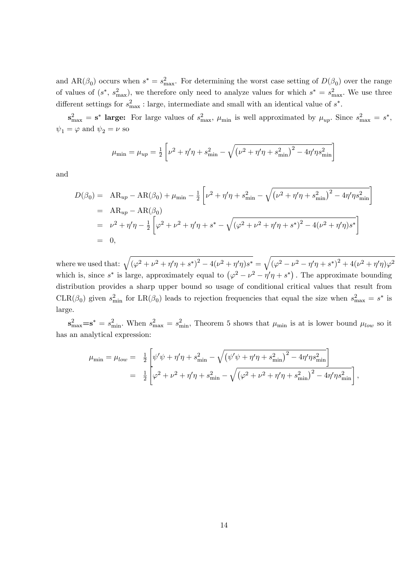and  $AR(\beta_0)$  occurs when  $s^* = s_{\text{max}}^2$ . For determining the worst case setting of  $D(\beta_0)$  over the range of values of  $(s^*, s_{\text{max}}^2)$ , we therefore only need to analyze values for which  $s^* = s_{\text{max}}^2$ . We use three different settings for  $s_{\text{max}}^2$ : large, intermediate and small with an identical value of  $s^*$ .

 $\mathbf{s}_{\text{max}}^2 = \mathbf{s}^*$  large: For large values of  $s_{\text{max}}^2$ ,  $\mu_{\text{min}}$  is well approximated by  $\mu_{up}$ . Since  $s_{\text{max}}^2 = s^*$ ,  $\psi_1 = \varphi$  and  $\psi_2 = \nu$  so

$$
\mu_{\min} = \mu_{up} = \frac{1}{2} \left[ \nu^2 + \eta' \eta + s_{\min}^2 - \sqrt{\left(\nu^2 + \eta' \eta + s_{\min}^2\right)^2 - 4 \eta' \eta s_{\min}^2} \right]
$$

and

$$
D(\beta_0) = AR_{up} - AR(\beta_0) + \mu_{min} - \frac{1}{2} \left[ \nu^2 + \eta' \eta + s_{min}^2 - \sqrt{(\nu^2 + \eta' \eta + s_{min}^2)^2 - 4 \eta' \eta s_{min}^2} \right]
$$
  
= AR\_{up} - AR(\beta\_0)  
=  $\nu^2 + \eta' \eta - \frac{1}{2} \left[ \varphi^2 + \nu^2 + \eta' \eta + s^* - \sqrt{(\varphi^2 + \nu^2 + \eta' \eta + s^*)^2 - 4(\nu^2 + \eta' \eta) s^*} \right]$   
= 0,

where we used that:  $\sqrt{(\varphi^2 + \nu^2 + \eta'\eta + s^*)^2 - 4(\nu^2 + \eta'\eta)s^*} = \sqrt{(\varphi^2 - \nu^2 - \eta'\eta + s^*)^2 + 4(\nu^2 + \eta'\eta)\varphi^2}$ which is, since  $s^*$  is large, approximately equal to  $(\varphi^2 - \nu^2 - \eta' \eta + s^*)$ . The approximate bounding distribution provides a sharp upper bound so usage of conditional critical values that result from CLR( $\beta_0$ ) given  $s_{\min}^2$  for LR( $\beta_0$ ) leads to rejection frequencies that equal the size when  $s_{\max}^2 = s^*$  is large.

 $\mathbf{s}_{\max}^2 = \mathbf{s}_{\min}^2$ . When  $s_{\max}^2 = s_{\min}^2$ , Theorem 5 shows that  $\mu_{\min}$  is at is lower bound  $\mu_{low}$  so it has an analytical expression:

$$
\mu_{\min} = \mu_{low} = \frac{1}{2} \left[ \psi' \psi + \eta' \eta + s_{\min}^2 - \sqrt{(\psi' \psi + \eta' \eta + s_{\min}^2)^2 - 4 \eta' \eta s_{\min}^2} \right]
$$
  
= 
$$
\frac{1}{2} \left[ \varphi^2 + \nu^2 + \eta' \eta + s_{\min}^2 - \sqrt{(\varphi^2 + \nu^2 + \eta' \eta + s_{\min}^2)^2 - 4 \eta' \eta s_{\min}^2} \right],
$$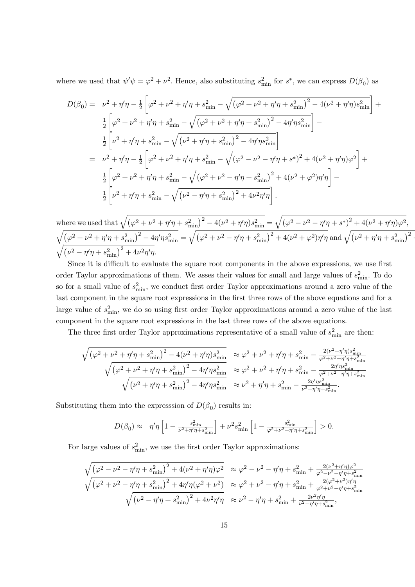where we used that  $\psi'\psi = \varphi^2 + \nu^2$ . Hence, also substituting  $s_{\min}^2$  for  $s^*$ , we can express  $D(\beta_0)$  as

$$
D(\beta_0) = \nu^2 + \eta'\eta - \frac{1}{2} \left[ \varphi^2 + \nu^2 + \eta'\eta + s_{\min}^2 - \sqrt{(\varphi^2 + \nu^2 + \eta'\eta + s_{\min}^2)^2 - 4(\nu^2 + \eta'\eta)s_{\min}^2} \right] +
$$
  
\n
$$
\frac{1}{2} \left[ \varphi^2 + \nu^2 + \eta'\eta + s_{\min}^2 - \sqrt{(\varphi^2 + \nu^2 + \eta'\eta + s_{\min}^2)^2 - 4\eta'\eta s_{\min}^2} \right] -
$$
  
\n
$$
\frac{1}{2} \left[ \nu^2 + \eta'\eta + s_{\min}^2 - \sqrt{(\nu^2 + \eta'\eta + s_{\min}^2)^2 - 4\eta'\eta s_{\min}^2} \right]
$$
  
\n
$$
= \nu^2 + \eta'\eta - \frac{1}{2} \left[ \varphi^2 + \nu^2 + \eta'\eta + s_{\min}^2 - \sqrt{(\varphi^2 - \nu^2 - \eta'\eta + s^*)^2 + 4(\nu^2 + \eta'\eta)\varphi^2} \right] +
$$
  
\n
$$
\frac{1}{2} \left[ \varphi^2 + \nu^2 + \eta'\eta + s_{\min}^2 - \sqrt{(\varphi^2 + \nu^2 - \eta'\eta + s_{\min}^2)^2 + 4(\nu^2 + \varphi^2)\eta'\eta} \right] -
$$
  
\n
$$
\frac{1}{2} \left[ \nu^2 + \eta'\eta + s_{\min}^2 - \sqrt{(\nu^2 - \eta'\eta + s_{\min}^2)^2 + 4\nu^2\eta'\eta} \right].
$$

where we used that  $\sqrt{(\varphi^2 + \nu^2 + \eta'\eta + s_{\min}^2)^2 - 4(\nu^2 + \eta'\eta)s_{\min}^2} = \sqrt{(\varphi^2 - \nu^2 - \eta'\eta + s^*)^2 + 4(\nu^2 + \eta'\eta)\varphi^2}$ ,  $\sqrt{\left(\varphi^2+\nu^2+\eta'\eta+s^2_{\text{min}}\right)^2-4\eta'\eta s^2_{\text{min}}}=\sqrt{\left(\varphi^2+\nu^2-\eta'\eta+s^2_{\text{min}}\right)^2+4(\nu^2+\varphi^2)\eta'\eta}\ \text{and}\ \sqrt{\left(\nu^2+\eta'\eta+s^2_{\text{min}}\right)^2-4\eta'\eta s^2_{\text{min}}}$  $\sqrt{\left(\nu^2 - \eta'\eta + s_{\text{min}}^2\right)^2 + 4\nu^2\eta'\eta}.$ 

Since it is difficult to evaluate the square root components in the above expressions, we use first order Taylor approximations of them. We asses their values for small and large values of  $s_{\text{min}}^2$ . To do so for a small value of  $s_{\min}^2$ , we conduct first order Taylor approximations around a zero value of the last component in the square root expressions in the first three rows of the above equations and for a large value of  $s_{\min}^2$ , we do so using first order Taylor approximations around a zero value of the last component in the square root expressions in the last three rows of the above equations.

The three first order Taylor approximations representative of a small value of  $s_{\min}^2$  are then:

$$
\begin{split} \sqrt{\left(\varphi^2+\nu^2+\eta'\eta+s^2_{\rm min}\right)^2-4(\nu^2+\eta'\eta)s^2_{\rm min}}&\approx \varphi^2+\nu^2+\eta'\eta+s^2_{\rm min}-\frac{2(\nu^2+\eta'\eta)s^2_{\rm min}}{\varphi^2+\nu^2+\eta'\eta+s^2_{\rm min}}\\ \sqrt{\left(\varphi^2+\nu^2+\eta'\eta+s^2_{\rm min}\right)^2-4\eta'\eta s^2_{\rm min}}&\approx \varphi^2+\nu^2+\eta'\eta+s^2_{\rm min}-\frac{2\eta'\eta s^2_{\rm min}}{\varphi^2+\nu^2+\eta'\eta+s^2_{\rm min}}\\ \sqrt{(\nu^2+\eta'\eta+s^2_{\rm min})^2-4\eta'\eta s^2_{\rm min}}&\approx \nu^2+\eta'\eta+s^2_{\rm min}-\frac{2\eta'\eta s^2_{\rm min}}{\nu^2+\eta'\eta+s^2_{\rm min}}. \end{split}
$$

Substituting them into the expresssion of  $D(\beta_0)$  results in:

$$
D(\beta_0)\approx\ \ \eta'\eta\left[1-\tfrac{s^2_{\min}}{\nu^2+\eta'\eta+s^2_{\min}}\right]+\nu^2s^2_{\min}\left[1-\tfrac{s^2_{\min}}{\varphi^2+\nu^2+\eta'\eta+s^2_{\min}}\right]>0.
$$

For large values of  $s_{\min}^2$ , we use the first order Taylor approximations:

$$
\begin{split} \sqrt{\left(\varphi^2-\nu^2-\eta'\eta+s^2_{\rm min}\right)^2+4(\nu^2+\eta'\eta)\varphi^2} &\approx \varphi^2-\nu^2-\eta'\eta+s^2_{\rm min}+\frac{2(\nu^2+\eta'\eta)\varphi^2}{\varphi^2-\nu^2-\eta'\eta+s^2_{\rm min}}\\ \sqrt{\left(\varphi^2+\nu^2-\eta'\eta+s^2_{\rm min}\right)^2+4\eta'\eta(\varphi^2+\nu^2)} &\approx \varphi^2+\nu^2-\eta'\eta+s^2_{\rm min}+\frac{2(\varphi^2+\nu^2)\eta'\eta}{\varphi^2+\nu^2-\eta'\eta+s^2_{\rm min}}\\ \sqrt{(\nu^2-\eta'\eta+s^2_{\rm min})^2+4\nu^2\eta'\eta} &\approx \nu^2-\eta'\eta+s^2_{\rm min}+\frac{2\nu^2\eta'\eta}{\nu^2-\eta'\eta+s^2_{\rm min}}, \end{split}
$$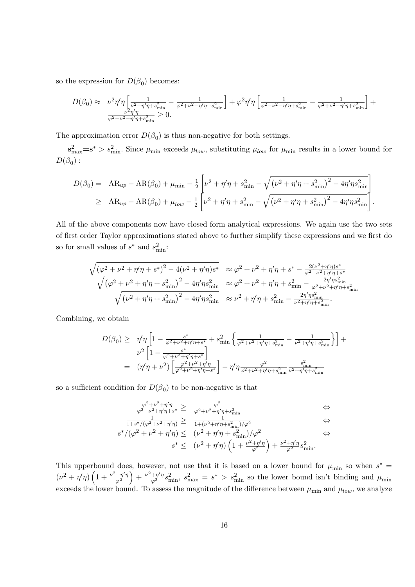so the expression for  $D(\beta_0)$  becomes:

$$
D(\beta_0) \approx \nu^2 \eta' \eta \left[ \frac{1}{\nu^2 - \eta' \eta + s_{\min}^2} - \frac{1}{\varphi^2 + \nu^2 - \eta' \eta + s_{\min}^2} \right] + \varphi^2 \eta' \eta \left[ \frac{1}{\varphi^2 - \nu^2 - \eta' \eta + s_{\min}^2} - \frac{1}{\varphi^2 + \nu^2 - \eta' \eta + s_{\min}^2} \right] + \frac{1}{\varphi^2 - \nu^2 - \eta' \eta + s_{\min}^2} \ge 0.
$$

The approximation error  $D(\beta_0)$  is thus non-negative for both settings.

 $s_{\text{max}}^2 = s^* > s_{\text{min}}^2$ . Since  $\mu_{\text{min}}$  exceeds  $\mu_{low}$ , substituting  $\mu_{low}$  for  $\mu_{\text{min}}$  results in a lower bound for  $D(\beta_0)$  :

$$
D(\beta_0) = AR_{up} - AR(\beta_0) + \mu_{min} - \frac{1}{2} \left[ \nu^2 + \eta' \eta + s_{min}^2 - \sqrt{(\nu^2 + \eta' \eta + s_{min}^2)^2 - 4 \eta' \eta s_{min}^2} \right]
$$
  
\n
$$
\geq AR_{up} - AR(\beta_0) + \mu_{low} - \frac{1}{2} \left[ \nu^2 + \eta' \eta + s_{min}^2 - \sqrt{(\nu^2 + \eta' \eta + s_{min}^2)^2 - 4 \eta' \eta s_{min}^2} \right].
$$

All of the above components now have closed form analytical expressions. We again use the two sets of first order Taylor approximations stated above to further simplify these expressions and we first do so for small values of  $s^*$  and  $s_{\min}^2$ :

$$
\begin{array}{lcl} \sqrt{\left(\varphi^2+\nu^2+\eta'\eta+s^*\right)^2-4(\nu^2+\eta'\eta)s^*} &\approx \varphi^2+\nu^2+\eta'\eta+s^*-\frac{2(\nu^2+\eta'\eta)s^*}{\varphi^2+\nu^2+\eta'\eta+s^*}\\ \sqrt{\left(\varphi^2+\nu^2+\eta'\eta+s^2_{\rm min}\right)^2-4\eta'\eta s^2_{\rm min}} &\approx \varphi^2+\nu^2+\eta'\eta+s^2_{\rm min}-\frac{2\eta'\eta s^2_{\rm min}}{\varphi^2+\nu^2+\eta'\eta+s^2_{\rm min}}\\ \sqrt{\left(\nu^2+\eta'\eta+s^2_{\rm min}\right)^2-4\eta'\eta s^2_{\rm min}} &\approx \nu^2+\eta'\eta+s^2_{\rm min}-\frac{2\eta'\eta s^2_{\rm min}}{\nu^2+\eta'\eta+s^2_{\rm min}}. \end{array}
$$

Combining, we obtain

$$
D(\beta_0) \geq \eta' \eta \left[ 1 - \frac{s^*}{\varphi^2 + \nu^2 + \eta' \eta + s^*} + s_{\min}^2 \left\{ \frac{1}{\varphi^2 + \nu^2 + \eta' \eta + s_{\min}^2} - \frac{1}{\nu^2 + \eta' \eta + s_{\min}^2} \right\} \right] + \frac{\nu^2 \left[ 1 - \frac{s^*}{\varphi^2 + \nu^2 + \eta' \eta + s^*} \right]}{\left( \eta' \eta + \nu^2 \right) \left[ \frac{\varphi^2 + \nu^2 + \eta' \eta}{\varphi^2 + \nu^2 + \eta' \eta + s^*} \right]} - \eta' \eta \frac{\varphi^2}{\varphi^2 + \nu^2 + \eta' \eta + s_{\min}^2} \frac{s_{\min}^2}{\nu^2 + \eta' \eta + s_{\min}^2}
$$

so a sufficient condition for  $D(\beta_0)$  to be non-negative is that

$$
\frac{\varphi^2 + \nu^2 + \eta'\eta}{\varphi^2 + \nu^2 + \eta'\eta + s^*} \geq \frac{\varphi^2}{\varphi^2 + \nu^2 + \eta'\eta + s_{\min}^2} \qquad \Leftrightarrow
$$
\n
$$
\frac{1}{1 + s^*/(\varphi^2 + \nu^2 + \eta'\eta)} \geq \frac{1}{1 + (\nu^2 + \eta'\eta + s_{\min}^2)/\varphi^2} \qquad \Leftrightarrow
$$
\n
$$
s^*/(\varphi^2 + \nu^2 + \eta'\eta) \leq (\nu^2 + \eta'\eta + s_{\min}^2)/\varphi^2 \qquad \Leftrightarrow
$$
\n
$$
s^* \leq (\nu^2 + \eta'\eta)\left(1 + \frac{\nu^2 + \eta'\eta}{\varphi^2}\right) + \frac{\nu^2 + \eta'\eta}{\varphi^2}s_{\min}^2.
$$

This upperbound does, however, not use that it is based on a lower bound for  $\mu_{\min}$  so when  $s^*$  $(\nu^2 + \eta' \eta) \left(1 + \frac{\nu^2 + \eta' \eta}{\mu^2}\right)$  $\varphi^2$  $\left(1+\frac{\nu^2+\eta'\eta}{\varphi^2}s_{\min}^2, s_{\max}^2=s^*>s_{\min}^2\right)$  so the lower bound isn't binding and  $\mu_{\min}$ exceeds the lower bound. To assess the magnitude of the difference between  $\mu_{\min}$  and  $\mu_{low}$ , we analyze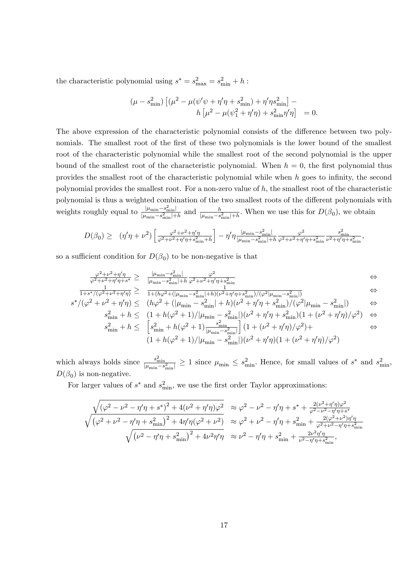the characteristic polynomial using  $s^* = s_{\text{max}}^2 = s_{\text{min}}^2 + h$ :

$$
(\mu - s_{\min}^2) \left[ (\mu^2 - \mu (\psi' \psi + \eta' \eta + s_{\min}^2) + \eta' \eta s_{\min}^2 \right] - h \left[ \mu^2 - \mu (\psi_1^2 + \eta' \eta) + s_{\min}^2 \eta' \eta \right] = 0.
$$

The above expression of the characteristic polynomial consists of the difference between two polynomials. The smallest root of the first of these two polynomials is the lower bound of the smallest root of the characteristic polynomial while the smallest root of the second polynomial is the upper bound of the smallest root of the characteristic polynomial. When  $h = 0$ , the first polynomial thus provides the smallest root of the characteristic polynomial while when  $h$  goes to infinity, the second polynomial provides the smallest root. For a non-zero value of  $h$ , the smallest root of the characteristic polynomial is thus a weighted combination of the two smallest roots of the different polynomials with weights roughly equal to  $\frac{|\mu_{\min} - s_{\min}^2|}{|\mu_{\min} - s_{\min}^2| + h}$  and  $\frac{h}{|\mu_{\min} - s_{\min}^2| + h}$ . When we use this for  $D(\beta_0)$ , we obtain

$$
D(\beta_0) \geq \left(\eta'\eta + \nu^2\right) \left[\frac{\varphi^2 + \nu^2 + \eta'\eta}{\varphi^2 + \nu^2 + \eta'\eta + s_{\min}^2 + h}\right] - \eta'\eta \frac{|\mu_{\min} - s_{\min}^2|}{|\mu_{\min} - s_{\min}^2| + h} \frac{\varphi^2}{\varphi^2 + \nu^2 + \eta'\eta + s_{\min}^2} \frac{s_{\min}^2}{\nu^2 + \eta'\eta + s_{\min}^2},
$$

so a sufficient condition for  $D(\beta_0)$  to be non-negative is that

$$
\frac{\varphi^2 + \nu^2 + \eta'\eta}{\varphi^2 + \nu^2 + \eta'\eta + s^*} \ge \frac{|\mu_{\min} - s_{\min}^2|}{|\mu_{\min} - s_{\min}^2| + h} \frac{\varphi^2}{\varphi^2 + \nu^2 + \eta'\eta + s_{\min}^2} \iff \iff
$$

$$
\frac{1}{1+s^*/(\varphi^2+\nu^2+\eta'\eta)} \geq \frac{1}{1+(h\varphi^2+(\vert\mu_{\min}-s_{\min}^2\vert+h)(\nu^2+\eta'\eta+s_{\min}^2)/(\varphi^2\vert\mu_{\min}-s_{\min}^2\vert)}) \qquad \Leftrightarrow
$$
  

$$
s^*/(\varphi^2+\nu^2+\eta'\eta) \leq (h\varphi^2+(\vert\mu_{\min}-s_{\min}^2\vert+h)(\nu^2+\eta'\eta+s_{\min}^2)/(\varphi^2\vert\mu_{\min}-s_{\min}^2\vert) \qquad \Leftrightarrow
$$

$$
*(\varphi^2 + \nu^2 + \eta'\eta) \leq (h\varphi^2 + (|\mu_{\min} - s_{\min}^2| + h)(\nu^2 + \eta'\eta + s_{\min}^2)/(\varphi^2|\mu_{\min} - s_{\min}^2|) \iff s_{\min}^2 + h \leq (1 + h(\varphi^2 + 1)/|\mu_{\min} - s_{\min}^2|)(\nu^2 + \eta'\eta + s_{\min}^2)(1 + (\nu^2 + \eta'\eta)/\varphi^2) \iff s_{\min}^2 + h \leq \left[s_{\min}^2 + h(\varphi^2 + 1)\frac{s_{\min}^2}{|\mu_{\min} - s_{\min}^2|}\right] (1 + (\nu^2 + \eta'\eta)/\varphi^2) + \iff
$$

$$
(1+h(\varphi^2+1)/|\mu_{\min}-s_{\min}^2|)(\nu^2+\eta'\eta)(1+(\nu^2+\eta'\eta)/\varphi^2)
$$

which always holds since  $\frac{s_{\min}^2}{|\mu_{\min} - s_{\min}^2|} \ge 1$  since  $\mu_{\min} \le s_{\min}^2$ . Hence, for small values of  $s^*$  and  $s_{\min}^2$ ,  $D(\beta_0)$  is non-negative.

For larger values of  $s^*$  and  $s_{\min}^2$ , we use the first order Taylor approximations:

$$
\begin{split} \frac{\sqrt{\left(\varphi^2-\nu^2-\eta'\eta+s^*\right)^2+4(\nu^2+\eta'\eta)\varphi^2}}{\sqrt{\left(\varphi^2+\nu^2-\eta'\eta+s^2_{\rm min}\right)^2+4\eta'\eta(\varphi^2+\nu^2)}} \quad &\approx \varphi^2-\nu^2-\eta'\eta+s^*+\frac{2(\nu^2+\eta'\eta)\varphi^2}{\varphi^2-\nu^2-\eta'\eta+s^*}\\ \sqrt{\left(\varphi^2+\nu^2-\eta'\eta+s^2_{\rm min}\right)^2+4\eta'\eta(\varphi^2+\nu^2)} \quad &\approx \varphi^2+\nu^2-\eta'\eta+s^2_{\rm min}+\frac{2(\varphi^2+\nu^2)\eta'\eta}{\varphi^2+\nu^2-\eta'\eta+s^2_{\rm min}}\\ \sqrt{\left(\nu^2-\eta'\eta+s^2_{\rm min}\right)^2+4\nu^2\eta'\eta} \quad &\approx \nu^2-\eta'\eta+s^2_{\rm min}+\frac{2\nu^2\eta'\eta}{\nu^2-\eta'\eta+s^2_{\rm min}}, \end{split}
$$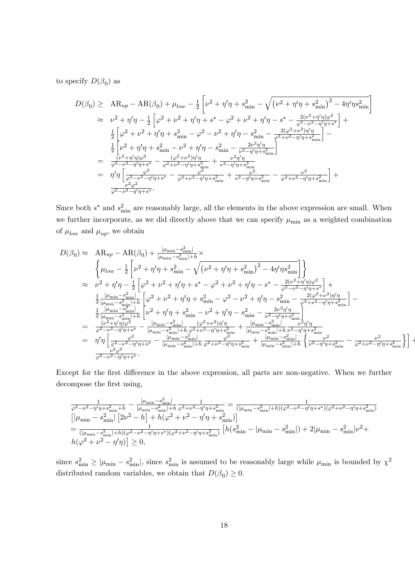to specify  $D(\beta_0)$  as

$$
D(\beta_0) \geq AR_{up} - AR(\beta_0) + \mu_{low} - \frac{1}{2} \left[ \nu^2 + \eta' \eta + s_{\min}^2 - \sqrt{(\nu^2 + \eta' \eta + s_{\min}^2)^2 - 4\eta' \eta s_{\min}^2} \right]
$$
  
\n
$$
\approx \nu^2 + \eta' \eta - \frac{1}{2} \left[ \varphi^2 + \nu^2 + \eta' \eta + s^* - \varphi^2 + \nu^2 + \eta' \eta - s^* - \frac{2(\nu^2 + \eta' \eta) \varphi^2}{\varphi^2 - \nu^2 - \eta' \eta + s^*} \right] +
$$
  
\n
$$
\frac{1}{2} \left[ \varphi^2 + \nu^2 + \eta' \eta + s_{\min}^2 - \varphi^2 - \nu^2 + \eta' \eta - s_{\min}^2 - \frac{2(\varphi^2 + \nu^2) \eta' \eta}{\varphi^2 + \nu^2 - \eta' \eta + s_{\min}^2} \right] -
$$
  
\n
$$
\frac{1}{2} \left[ \nu^2 + \eta' \eta + s_{\min}^2 - \nu^2 + \eta' \eta - s_{\min}^2 - \frac{2\nu^2 \eta' \eta}{\nu^2 - \eta' \eta + s_{\min}^2} \right]
$$
  
\n
$$
= \frac{(\nu^2 + \eta' \eta) \varphi^2}{\varphi^2 - \nu^2 - \eta' \eta + s^*} - \frac{(\varphi^2 + \nu^2) \eta' \eta}{\varphi^2 + \nu^2 - \eta' \eta + s_{\min}^2} + \frac{\nu^2 \eta' \eta}{\nu^2 - \eta' \eta + s_{\min}^2} - \frac{\nu^2}{\varphi^2 + \nu^2 - \eta' \eta + s_{\min}^2} \right] +
$$
  
\n
$$
= \eta' \eta \left[ \frac{\varphi^2}{\varphi^2 - \nu^2 - \eta' \eta + s^*} - \frac{\varphi^2}{\varphi^2 + \nu^2 - \eta' \eta + s_{\min}^2} + \frac{\nu^2}{\nu^2 - \eta' \eta + s_{\min}^2} - \frac{\nu^2}{\varphi^2 + \nu^2 - \eta' \eta + s_{\min}^2} \right] +
$$

Since both  $s^*$  and  $s_{\min}^2$  are reasonably large, all the elements in the above expression are small. When we further incorporate, as we did directly above that we can specify  $\mu_{\min}$  as a weighted combination of  $\mu_{low}$  and  $\mu_{up}$ , we obtain

$$
D(\beta_0) \approx AR_{up} - AR(\beta_0) + \frac{|\mu_{\min} - s_{\min}^2|}{|\mu_{\min} - s_{\min}^2| + h} \times \n\left\{ \mu_{low} - \frac{1}{2} \left[ \nu^2 + \eta' \eta + s_{\min}^2 - \sqrt{(\nu^2 + \eta' \eta + s_{\min}^2)^2 - 4 \eta' \eta s_{\min}^2} \right] \right\} \n\approx \nu^2 + \eta' \eta - \frac{1}{2} \left[ \varphi^2 + \nu^2 + \eta' \eta + s^* - \varphi^2 + \nu^2 + \eta' \eta - s^* - \frac{2(\nu^2 + \eta' \eta) \varphi^2}{\varphi^2 - \nu^2 - \eta' \eta + s^*} \right] + \n\frac{1}{2} \frac{|\mu_{\min} - s_{\min}^2|}{|\mu_{\min} - s_{\min}^2| + h} \left[ \varphi^2 + \nu^2 + \eta' \eta + s_{\min}^2 - \varphi^2 - \nu^2 + \eta' \eta - s_{\min}^2 - \frac{2(\varphi^2 + \nu^2) \eta' \eta}{\varphi^2 + \nu^2 - \eta' \eta + s_{\min}^2} \right] - \n\frac{1}{2} \frac{|\mu_{\min} - s_{\min}^2| + h}{|\mu_{\min} - s_{\min}^2| + h} \left[ \nu^2 + \eta' \eta + s_{\min}^2 - \nu^2 + \eta' \eta - s_{\min}^2 - \frac{2\nu^2 \eta' \eta}{\nu^2 - \eta' \eta + s_{\min}^2} \right] - \n= \frac{(\nu^2 + \eta' \eta) \varphi^2}{\varphi^2 - \nu^2 - \eta' \eta + s^*} - \frac{|\mu_{\min} - s_{\min}^2| + h}{|\mu_{\min} - s_{\min}^2| + h} \frac{(\varphi^2 + \nu^2) \eta' \eta}{\varphi^2 + \nu^2 - \eta' \eta + s_{\min}^2} + \frac{|\mu_{\min} - s_{\min}^2|}{|\mu_{\min} - s_{\min}^2| + h} \frac{\nu^2 \eta' \eta}{\varphi' \eta' \eta + s_{\min}^2} - \frac{\nu^2 \eta' \eta}{\varphi^2
$$

Except for the first difference in the above expression, all parts are non-negative. When we further decompose the first using,

$$
\begin{array}{l} \frac{1}{\varphi^2-\nu^2-\eta'\eta+s_{\min}^2+h}-\frac{|\mu_{\min}-s_{\min}^2|}{|\mu_{\min}-s_{\min}^2|+h}\frac{1}{\varphi^2+\nu^2-\eta'\eta+s_{\min}^2}=\frac{1}{(|\mu_{\min}-s_{\min}^2|+h)(\varphi^2-\nu^2-\eta'\eta+s^*)(\varphi^2+\nu^2-\eta'\eta+s_{\min}^2)}\\ \left[|\mu_{\min}-s_{\min}^2|\left[2\nu^2-h\right]+h(\varphi^2+\nu^2-\eta'\eta+s_{\min}^2)\right]\\ =\frac{1}{(|\mu_{\min}-s_{\min}^2|+h)(\varphi^2-\nu^2-\eta'\eta+s^*)(\varphi^2+\nu^2-\eta'\eta+s_{\min}^2)}\left[h(s_{\min}^2-|\mu_{\min}-s_{\min}^2|)+2|\mu_{\min}-s_{\min}^2|\nu^2+\\ h(\varphi^2+\nu^2-\eta'\eta)\right]\geq 0, \end{array}
$$

since  $s_{\min}^2 \ge |\mu_{\min} - s_{\min}^2|$ , since  $s_{\min}^2$  is assumed to be reasonably large while  $\mu_{\min}$  is bounded by  $\chi^2$ distributed random variables, we obtain that  $D(\beta_0) \geq 0$ .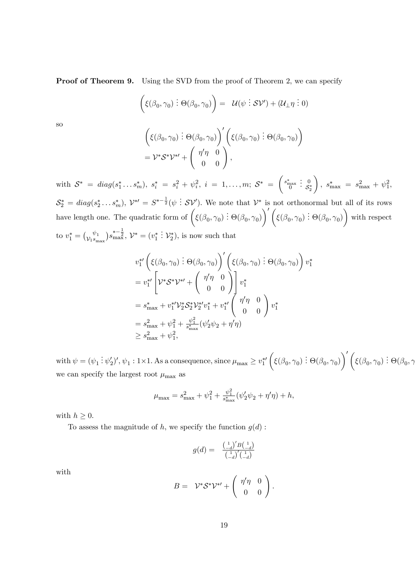Proof of Theorem 9. Using the SVD from the proof of Theorem 2, we can specify

$$
(\xi(\beta_0, \gamma_0) : \Theta(\beta_0, \gamma_0)) = \mathcal{U}(\psi : \mathcal{SV}') + (\mathcal{U}_{\perp} \eta : 0)
$$

so

$$
\left(\xi(\beta_0, \gamma_0) : \Theta(\beta_0, \gamma_0)\right)' \left(\xi(\beta_0, \gamma_0) : \Theta(\beta_0, \gamma_0)\right) = \mathcal{V}^* \mathcal{S}^* \mathcal{V}^{*'} + \left(\begin{array}{cc} \eta' \eta & 0 \\ 0 & 0 \end{array}\right),
$$

with  $S^* = diag(s_1^*, \ldots s_m^*)$ ,  $s_i^* = s_i^2 + \psi_i^2$ ,  $i = 1, \ldots, m; S^* =$  $\left(\begin{smallmatrix} s_{\max}^* \\ 0 \end{smallmatrix}\right)$  $\begin{array}{c} . & 0 \\ . & S \end{array}$  $\mathcal{S}_2^*$  $\setminus$  $s_{\text{max}}^* = s_{\text{max}}^2 + \psi_1^2,$  $S_2^* = diag(s_2^*, \ldots s_m^*), \; \mathcal{V}^{*\prime} = S^{*- \frac{1}{2}}(\psi \, \vdots \, S\mathcal{V}').$  We note that  $\mathcal{V}^*$  is not orthonormal but all of its rows

have length one. The quadratic form of  $(\xi(\beta_0, \gamma_0) : \Theta(\beta_0, \gamma_0))$  $\setminus'$  $\overline{\xi}(\overline{\beta}_0,\overline{\gamma}_0) \stackrel{\cdot}{:} \Theta(\overline{\beta}_0,\overline{\gamma}_0)$  $\setminus$ with respect to  $v_1^* = \begin{pmatrix} \psi_1 \\ \gamma_1 s_m \end{pmatrix}$  $\mathcal{V}_1s_{\max}$  $s_{\max}^{*-\frac{1}{2}}, \mathcal{V}^* = (v_1^*)$  $:\mathcal{V}_2^*$ , is now such that

$$
v_1^{*\prime}\left(\xi(\beta_0, \gamma_0) : \Theta(\beta_0, \gamma_0)\right)'\left(\xi(\beta_0, \gamma_0) : \Theta(\beta_0, \gamma_0)\right)v_1^*
$$
  
\n
$$
= v_1^{*\prime}\left[\mathcal{V}^*\mathcal{S}^*\mathcal{V}^{*\prime} + \begin{pmatrix} \eta'\eta & 0 \\ 0 & 0 \end{pmatrix}\right]v_1^*
$$
  
\n
$$
= s_{\max}^* + v_1^{*\prime}\mathcal{V}_2^*\mathcal{S}_2^*\mathcal{V}_2^{*\prime}v_1^* + v_1^{*\prime}\begin{pmatrix} \eta'\eta & 0 \\ 0 & 0 \end{pmatrix}v_1^*
$$
  
\n
$$
= s_{\max}^2 + \psi_1^2 + \frac{\psi_1^2}{s_{\max}^*}(\psi_2'\psi_2 + \eta'\eta)
$$
  
\n
$$
\geq s_{\max}^2 + \psi_1^2,
$$

with  $\psi = (\psi_1 : \psi_2')', \psi_1 : 1 \times 1$ . As a consequence, since  $\mu_{\max} \ge v_1^*$  $\sqrt{ }$  $\overline{\xi}(\overline{\beta}_0,\overline{\gamma}_0) \stackrel{\cdot}{:} \Theta(\overline{\beta}_0,\overline{\gamma}_0)$  $\setminus'$  $\overline{\xi}(\overline{\beta}_0,\overline{\gamma}_0) \stackrel{\cdot}{:} \Theta(\overline{\beta}_0,\overline{\gamma})$ we can specify the largest root  $\mu_{\max}$  as

$$
\mu_{\max} = s_{\max}^2 + \psi_1^2 + \tfrac{\psi_1^2}{s_{\max}^*} (\psi_2' \psi_2 + \eta' \eta) + h,
$$

with  $h \geq 0$ .

To assess the magnitude of h, we specify the function  $g(d)$ :

$$
g(d) = \begin{array}{c} \left(\frac{1}{-d}\right)'B\left(\frac{1}{-d}\right) \\ \left(\frac{1}{-d}\right)'\left(\frac{1}{-d}\right) \end{array}
$$

with

$$
B = \mathcal{V}^* \mathcal{S}^* \mathcal{V}^{*'} + \left( \begin{array}{cc} \eta' \eta & 0 \\ 0 & 0 \end{array} \right).
$$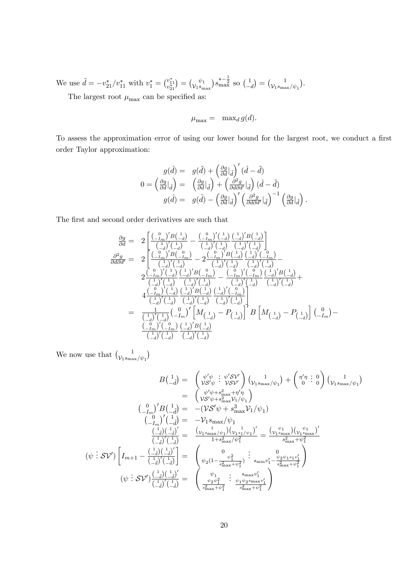We use  $\tilde{d} = -v_{21}^*/v_{11}^*$  with  $v_1^* = \begin{pmatrix} v_{11}^* \\ v_{21}^* \end{pmatrix}$  $=\bigg(\begin{smallmatrix} \psi_1 \ \psi_2 \end{smallmatrix}\bigg)$  $\mathcal{V}_1s_{\max}$  $s_{\max}^{*-\frac{1}{2}}$  so  $\left(\frac{1}{2}\right)$  $-d$  $_{0} = \left( \frac{1}{\nu_{\rm b}} \right)_{\rm s}$  $\mathcal{V}_1s_{\max}/\psi_1$  $\big).$ 

The largest root  $\mu_{\text{max}}$  can be specified as:

$$
\mu_{\max} = \max_d g(d).
$$

To assess the approximation error of using our lower bound for the largest root, we conduct a first order Taylor approximation:

$$
g(\hat{d}) = g(\tilde{d}) + \left(\frac{\partial g}{\partial d}\big|_{\tilde{d}}\right)'(\hat{d} - \tilde{d})
$$
  

$$
0 = \left(\frac{\partial g}{\partial d}\big|_{\hat{d}}\right) = \left(\frac{\partial g}{\partial d}\big|_{\tilde{d}}\right) + \left(\frac{\partial^2 g}{\partial d \partial d'}\big|_{\tilde{d}}\right)(\hat{d} - \tilde{d})
$$
  

$$
g(\hat{d}) = g(\tilde{d}) - \left(\frac{\partial g}{\partial d}\big|_{\tilde{d}}\right)' \left(\frac{\partial^2 g}{\partial d \partial d'}\big|_{\tilde{d}}\right)^{-1} \left(\frac{\partial g}{\partial d}\big|_{\tilde{d}}\right).
$$

The first and second order derivatives are such that

$$
\frac{\partial g}{\partial d} = 2 \left[ \frac{\binom{0}{-m} / B\binom{1}{-d}}{\binom{1}{-d} \binom{1}{-d}} - \frac{\binom{0}{-m} / \binom{1}{-d}}{\binom{1}{-d} \binom{1}{-d} \binom{1}{-d}} \frac{\binom{1}{-d} / \binom{1}{-d}}{\binom{1}{-d} \binom{1}{-d}} \right]
$$
\n
$$
\frac{\partial^2 g}{\partial d \partial d'} = 2 \left[ \frac{\binom{0}{-m} / B\binom{0}{-m}}{\binom{1}{-d} \binom{1}{-d}} - 2 \frac{\binom{0}{-m} / B\binom{1}{-d}}{\binom{1}{-d} \binom{1}{-d}} \frac{\binom{1}{-d} / \binom{1}{-m}}{\binom{1}{-d} \binom{1}{-d}} - \frac{\binom{0}{-m} / B\binom{1}{-d}}{\binom{1}{-d} \binom{1}{-d}} \frac{\binom{1}{-d} / B\binom{1}{-d}}{\binom{1}{-d} \binom{1}{-d}} - \frac{\binom{0}{-m} / \binom{0}{-m} \binom{1}{-d} \binom{1}{-d}}{\binom{1}{-d} \binom{1}{-d} \binom{1}{-d}} \frac{\binom{1}{-d} / B\binom{1}{-d}}{\binom{1}{-d} \binom{1}{-d}} \frac{\binom{1}{-d} / B\binom{1}{-d}}{\binom{1}{-d} \binom{1}{-d}} \frac{\binom{1}{-d} / \binom{1}{-d}}{\binom{1}{-d} \binom{1}{-d}} - 4 \frac{\binom{1}{-m} / \binom{1}{-m} \binom{1}{-m}}{\binom{1}{-d} \binom{1}{-d} \binom{1}{-d}} \frac{\binom{1}{-d} / \binom{1}{-d}}{\binom{1}{-d} \binom{1}{-d}} - P \binom{1}{-d}} \right]
$$
\n
$$
= \frac{1}{\binom{1}{-d} / \binom{1}{-d} \binom{0}{-m} / \binom{1}{-d} \binom{1}{-d}} - P \binom{1}{-d} \right] B \left[ M \
$$

We now use that  $\int_{\mathcal{V}_{1}S_{\text{max}}}$  $\mathcal{V}_1s_{\max}/\psi_1$  $\lambda$ 

B 1 d~ = 0 VS<sup>0</sup> . . . <sup>0</sup>SV<sup>0</sup> VSV<sup>0</sup> 1 V1smax= <sup>1</sup> + 0 0 . . . 0 0 1 V1smax= <sup>1</sup> = 0 +s 2 max+ 0 VS<sup>0</sup> +s 2maxV1= <sup>1</sup> 0 I<sup>m</sup> 0 B 1 d~ = (VS<sup>0</sup> + s 3 maxV1= <sup>1</sup> ) 0 I<sup>m</sup> 0 1 d~ = V1smax= <sup>1</sup> ( 1 d<sup>~</sup>)( <sup>1</sup> d~) 0 ( 1 d~) 0 ( 1 d~) = ( 1 V1smax= 1 )( <sup>1</sup> V1s1= 1 ) 0 1+s 2max= <sup>2</sup> 1 = ( 1 V1smax )( <sup>1</sup> V1smax ) 0 s 2max+ 2 1 ( . . . SV<sup>0</sup> ) Im+1 ( 1 d<sup>~</sup>)( <sup>1</sup> d~) 0 ( 1 d~) 0 ( 1 d~) = 0 2 (1 2 1 s 2max+ <sup>2</sup> 1 ) . . . 0 sminv 0 1 2 1s1v 0 1 s 2max+ <sup>2</sup> 1 ! ( . . . SV<sup>0</sup> ) ( 1 d<sup>~</sup>)( <sup>1</sup> d~) 0 ( 1 d~) 0 ( 1 d~) = 1 <sup>2</sup> <sup>2</sup> 1 s 2max+ <sup>2</sup> 1 . . . smaxv 0 1 1 2smaxv 0 1 s 2max+ <sup>2</sup> 1 !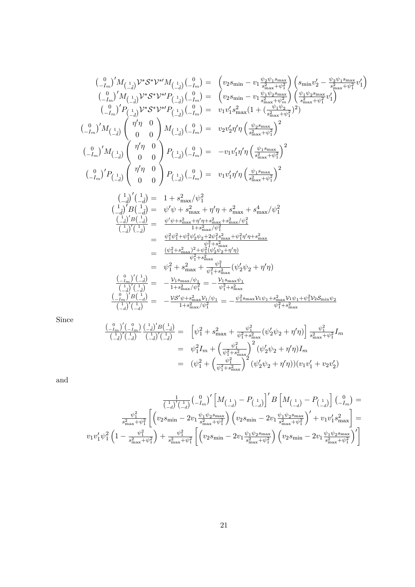$$
\begin{array}{llll} &{\binom{0}{-I_m}}' M_{\left(\begin{array}{c}1\\-I_m\end{array}\right)} V^* \mathcal{S}^* \mathcal{V}^{*H} M_{\left(\begin{array}{c}1\\-I_m\end{array}\right)} \left(\begin{array}{c}0\\-I_m\end{array}\right) V^* \mathcal{S}^* V^{*H} P_{\left(\begin{array}{c}1\\-I_m\end{array}\right)} \left(\begin{array}{c}0\\-I_m\end{array}\right) V^* \mathcal{S}^* V^{*H} P_{\left(\begin{array}{c}1\\-I_m\end{array}\right)} \left(\begin{array}{c}0\\-I_m\end{array}\right) V^* \mathcal{S}^* V^{*H} P_{\left(\begin{array}{c}1\\-I_m\end{array}\right)} \left(\begin{array}{c}0\\-I_m\end{array}\right) V^* \mathcal{S}^* V^{*H} P_{\left(\begin{array}{c}1\\-I_m\end{array}\right)} \left(\begin{array}{c}0\\-I_m\end{array}\right) V^* \mathcal{S}^* V^{*H} P_{\left(\begin{array}{c}1\\-I_m\end{array}\right)} \left(\begin{array}{c}0\\-I_m\end{array}\right) V^* \mathcal{S}^* V^{*H} P_{\left(\begin{array}{c}1\\-I_m\end{array}\right)} \left(\begin{array}{c}0\\-I_m\end{array}\right) V^* \mathcal{S}^* W^{*H} P_{\left(\begin{array}{c}1\\-I_m\end{array}\right)} \left(\begin{array}{c}0\\-I_m\end{array}\right) V^* \mathcal{S}^* W^{*H} P_{\left(\begin{array}{c}1\\-I_m\end{array}\right)} \left(\begin{array}{c}0\\-I_m\end{array}\right) V^* \left(\begin{array}{c}0\\-I_m\end{array}\right) W^* \left(\begin{array}{c}0\\-I_m\end{array}\right) V^* \left(\begin{array}{c}0\\-I_m\end{array}\right) V^* \left(\begin{array}{c}0\\-I_m\end{array}\right) V^* \left(\begin{array}{c}0\\-I_m\end{array}\right) V^* \left(\begin{array}{c}0\\-I_m\end{array}\right) V^* \left(\begin{array}{c}0\\-I_m\end{array}\right) V^* \
$$

Since

$$
\frac{\binom{0}{-I_m}\binom{0}{-I_m}\binom{1}{-I_m}\binom{1}{-I_m}\binom{1}{-I_m}}{\binom{1}{-I_m}\binom{1}{-I_m}} = \left[ \psi_1^2 + s_{\max}^2 + \frac{\psi_1^2}{\psi_1^2 + s_{\max}^2} (\psi_2'\psi_2 + \eta'\eta) \right] \frac{\psi_1^2}{s_{\max}^2 + \psi_1^2} I_m
$$
\n
$$
= \psi_1^2 I_m + \left( \frac{\psi_1^2}{\psi_1^2 + s_{\max}^2} \right)^2 (\psi_2'\psi_2 + \eta'\eta) I_m
$$
\n
$$
= (\psi_1^2 + \left( \frac{\psi_1^2}{\psi_1^2 + s_{\max}^2} \right)^2 (\psi_2'\psi_2 + \eta'\eta)) (v_1v_1' + v_2v_2')
$$

and

$$
\begin{aligned} \frac{1}{\binom{1}{-d}\binom{1}{-d}} \binom{0}{-I_m}^{\prime} \left[ M_{\left( \begin{matrix} 1 \\ -d \end{matrix} \right)} - P_{\left( \begin{matrix} 1 \\ -d \end{matrix} \right)} \right]' B \left[ M_{\left( \begin{matrix} 1 \\ -d \end{matrix} \right)} - P_{\left( \begin{matrix} 1 \\ -d \end{matrix} \right)} \right] \binom{0}{-I_m} = \\ \frac{\psi_1^2}{s_{\max}^2 + \psi_1^2} \left[ \left( v_2 s_{\min} - 2 v_1 \frac{\psi_1 \psi_2 s_{\max}}{s_{\max}^2 + \psi_1^2} \right) \left( v_2 s_{\min} - 2 v_1 \frac{\psi_1 \psi_2 s_{\max}}{s_{\max}^2 + \psi_1^2} \right)' + v_1 v_1^\prime s_{\max}^2 \right] = \\ v_1 v_1^\prime \psi_1^2 \left( 1 - \frac{\psi_1^2}{s_{\max}^2 + \psi_1^2} \right) + \frac{\psi_1^2}{s_{\max}^2 + \psi_1^2} \left[ \left( v_2 s_{\min} - 2 v_1 \frac{\psi_1 \psi_2 s_{\max}}{s_{\max}^2 + \psi_1^2} \right) \left( v_2 s_{\min} - 2 v_1 \frac{\psi_1 \psi_2 s_{\max}}{s_{\max}^2 + \psi_1^2} \right)' \right] \end{aligned}
$$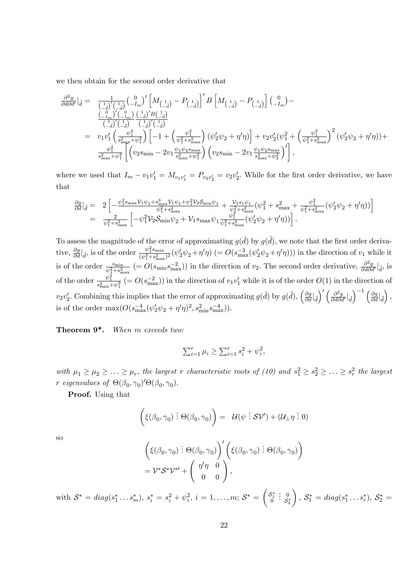we then obtain for the second order derivative that

$$
\begin{array}{lll} \frac{\partial^2 g}{\partial d \partial d'}|_{\tilde{d}}=&\frac{1}{\left(\frac{1}{-d}\right)' \left(\frac{1}{-d}\right)} \left(\frac{0}{-I_m}\right)' \left[M_{\left(\frac{1}{-d}\right)}-P_{\left(\frac{1}{-d}\right)}\right]'B\left[M_{\left(\frac{1}{-d}\right)}-P_{\left(\frac{1}{-d}\right)}\right]\left(\frac{0}{-I_m}\right)- \\ &\frac{\left(\frac{0}{-I_m}\right)' \left(\frac{0}{-I_m}\right)}{\left(\frac{1}{-d}\right)' \left(\frac{1}{-d}\right)} \left(\frac{1}{-d}\right)' \left(\frac{1}{-d}\right) \\ =&\ v_1 v_1' \left(\frac{\psi_1^2}{s_{\max}^2+\psi_1^2}\right) \left[-1+\left(\frac{\psi_1^2}{\psi_1^2+s_{\max}^2}\right)\left(\psi_2'\psi_2+\eta'\eta\right)\right] +v_2 v_2' (\psi_1^2+\left(\frac{\psi_1^2}{\psi_1^2+s_{\max}^2}\right)^2 \left(\psi_2'\psi_2+\eta'\eta\right)\right)+ \\ &\frac{\psi_1^2}{s_{\max}^2+\psi_1^2} \left[\left(v_2 s_{\min}-2v_1\frac{\psi_1\psi_2 s_{\max}}{s_{\max}^2+\psi_1^2}\right)\left(v_2 s_{\min}-2v_1\frac{\psi_1\psi_2 s_{\max}}{s_{\max}^2+\psi_2^2}\right)'\right], \end{array}
$$

where we used that  $I_m - v_1v_1' = M_{v_1v_1'} = P_{v_2v_2'} = v_2v_2'$ . While for the first order derivative, we have that

$$
\begin{array}{lll} \frac{\partial g}{\partial d}\big|_{\tilde{d}}=&2\left[-\frac{\psi_{1}^{2}s_{\max}\mathcal{V}_{1}\psi_{1}+s_{\max}^{3}\mathcal{V}_{1}\psi_{1}+\psi_{1}^{2}\mathcal{V}_{2}\mathcal{S}_{\min}\psi_{1}}{\psi_{1}^{2}+s_{\max}^{2}}+\frac{\mathcal{V}_{1}s_{1}\psi_{1}}{\psi_{1}^{2}+s_{\max}^{2}}\big(\psi_{1}^{2}+s_{\max}^{2}+\frac{\psi_{1}^{2}}{\psi_{1}^{2}+s_{\max}^{2}}\big(\psi_{2}^{\prime}\psi_{2}+\eta^{\prime}\eta\big)\big)\right]\\=&\frac{2}{\psi_{1}^{2}+s_{\max}^{2}}\left[-\psi_{1}^{2}\mathcal{V}_{2}\mathcal{S}_{\min}\psi_{2}+\mathcal{V}_{1}s_{\max}\psi_{1}\frac{\psi_{1}^{2}}{\psi_{1}^{2}+s_{\max}^{2}}\big(\psi_{2}^{\prime}\psi_{2}+\eta^{\prime}\eta\big)\big)\right].\end{array}
$$

To assess the magnitude of the error of approximating  $g(\hat{d})$  by  $g(\tilde{d})$ , we note that the first order derivative,  $\frac{\partial g}{\partial d}|_{\tilde{d}}$ , is of the order  $\frac{\psi_1^2 s_{\text{max}}}{(\psi_1^2 + s_{\text{max}}^2)}$  $\frac{\psi_1^2 s_{\max}}{(\psi_1^2 + s_{\max}^2)^2} (\psi_2' \psi_2 + \eta' \eta)$  (=  $O(s_{\max}^{-3}(\psi_2' \psi_2 + \eta' \eta))$ ) in the direction of  $v_1$  while it is of the order  $\frac{s_{\min}}{\psi_1^2 + s_{\max}^2}$  (=  $O(s_{\min} s_{\max}^{-2})$ ) in the direction of  $v_2$ . The second order derivative,  $\frac{\partial^2 g}{\partial d \partial d'}|_{\tilde{d}}$ , is of the order  $\frac{\psi_1^2}{s_{\text{max}}^2 + \psi_1^2}$  (=  $O(s_{\text{max}}^{-2})$ ) in the direction of  $v_1v_1'$  while it is of the order  $O(1)$  in the direction of  $v_2v_2'$ . Combining this implies that the error of approximating  $g(\hat{d})$  by  $g(\tilde{d})$ ,  $\left(\frac{\partial g}{\partial d}\Big|_{\tilde{d}}\right)$  $\langle \left| \int' \left( \frac{\partial^2 g}{\partial d\partial d'} \right|_{\tilde{d}} \right|$  $\left(\frac{\partial g}{\partial d}\right|_{\tilde{d}}$  $\bigg),$ is of the order  $\max(O(s_{\text{max}}^{-4}(\psi_2'\psi_2 + \eta'\eta)^2, s_{\text{min}}^2 s_{\text{max}}^{-4})).$ 

Theorem  $9^*$ . When m exceeds two:

$$
\sum_{i=1}^{r} \mu_i \ge \sum_{i=1}^{r} s_i^2 + \psi_i^2,
$$

with  $\mu_1 \ge \mu_2 \ge \ldots \ge \mu_r$ , the largest r characteristic roots of (10) and  $s_1^2 \ge s_2^2 \ge \ldots \ge s_r^2$  the largest r eigenvalues of  $\Theta(\beta_0, \gamma_0)'\Theta(\beta_0, \gamma_0)$ .

Proof. Using that

$$
(\xi(\beta_0, \gamma_0) : \Theta(\beta_0, \gamma_0)) = \mathcal{U}(\psi : \mathcal{SV}') + (\mathcal{U}_{\perp} \eta : 0)
$$

so

$$
\begin{aligned} &\left(\xi(\beta_0,\gamma_0):\Theta(\beta_0,\gamma_0)\right)'\left(\xi(\beta_0,\gamma_0):\Theta(\beta_0,\gamma_0)\right) \\ &= \mathcal{V}^*\mathcal{S}^*\mathcal{V}^{*\prime} + \left(\begin{array}{cc} \eta'\eta & 0 \\ 0 & 0 \end{array}\right), \end{aligned}
$$

with  $S^* = diag(s_1^* \ldots s_m^*)$ ,  $s_i^* = s_i^2 + \psi_i^2$ ,  $i = 1, \ldots, m; S^* =$  $\Big( \begin{smallmatrix} \mathcal{S}_1^* \\ 0 \end{smallmatrix}$  $\begin{array}{c} . & 0 \\ . & s \end{array}$  $\mathcal{S}_2^*$  $\setminus$  $S_1^* = diag(s_1^*, \ldots s_r^*), S_2^* =$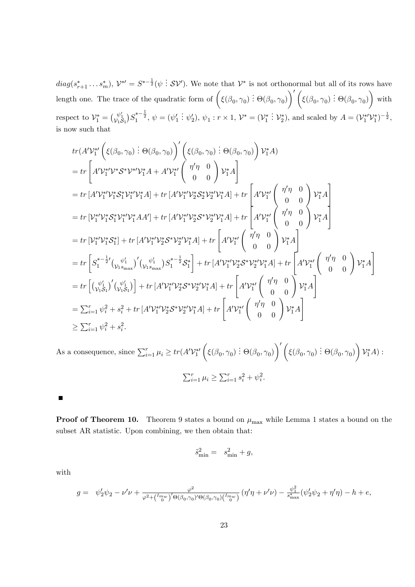$diag(s_{r+1}^*, \ldots s_m^*), \mathcal{V}^{*\prime} = S^{*- \frac{1}{2}}(\psi \, \vdots \, S\mathcal{V}').$  We note that  $\mathcal{V}^*$  is not orthonormal but all of its rows have length one. The trace of the quadratic form of  $(\xi(\beta_0, \gamma_0) : \Theta(\beta_0, \gamma_0))$  $\setminus'$  $\overline{\xi}(\beta_0,\gamma_0) \stackrel{\cdot}{:} \Theta(\beta_0,\gamma_0)$  $\setminus$ with respect to  $\mathcal{V}_1^* = \begin{pmatrix} \psi_1' \\ \mathcal{V}_1 \mathcal{S}_1 \end{pmatrix}$  $(S_1^{*-\frac{1}{2}}, \psi = (\psi_1')$ :  $\psi'_2$ ),  $\psi_1 : r \times 1$ ,  $\mathcal{V}^* = (\mathcal{V}_1^*)$ :  $\mathcal{V}_2^*$ ), and scaled by  $A = (\mathcal{V}_1^{*\prime} \mathcal{V}_1^*)^{-\frac{1}{2}}$ , is now such that

$$
tr(A'V_{1}^{*\prime}\left(\xi(\beta_{0},\gamma_{0}):\Theta(\beta_{0},\gamma_{0})\right)'\left(\xi(\beta_{0},\gamma_{0}):\Theta(\beta_{0},\gamma_{0})\right)V_{1}^{*}A\right)
$$
\n
$$
= tr\left[A'V_{1}^{*\prime}V^{*}S^{*}V^{*\prime}V_{1}^{*}A + A'V_{1}^{*\prime}\left(\begin{array}{c} \eta'\eta & 0\\ 0 & 0 \end{array}\right)V_{1}^{*}A\right]
$$
\n
$$
= tr\left[A'V_{1}^{*\prime}V_{1}^{*}S_{1}^{*}V_{1}^{*\prime}V_{1}^{*}A\right] + tr\left[A'V_{1}^{*\prime}V_{2}^{*}S_{2}^{*}V_{2}^{*\prime}V_{1}^{*}A\right] + tr\left[A'V_{1}^{*\prime}\left(\begin{array}{c} \eta'\eta & 0\\ 0 & 0 \end{array}\right)V_{1}^{*}A\right]
$$
\n
$$
= tr\left[V_{1}^{*\prime}V_{1}^{*}S_{1}^{*}V_{1}^{*\prime}V_{1}^{*}AA'\right] + tr\left[A'V_{1}^{*\prime}V_{2}^{*}S^{*}V_{2}^{*\prime}V_{1}^{*}A\right] + tr\left[A'V_{1}^{*\prime}\left(\begin{array}{c} \eta'\eta & 0\\ 0 & 0 \end{array}\right)V_{1}^{*}A\right]
$$
\n
$$
= tr\left[V_{1}^{*\prime}V_{1}^{*}S_{1}^{*}\right] + tr\left[A'V_{1}^{*\prime}V_{2}^{*}S^{*}V_{2}^{*\prime}V_{1}^{*}A\right] + tr\left[A'V_{1}^{*\prime}\left(\begin{array}{c} \eta'\eta & 0\\ 0 & 0 \end{array}\right)V_{1}^{*}A\right]
$$
\n
$$
= tr\left[S_{1}^{*- \frac{1}{2}}(V_{1}^{*\prime}_{1})\left(V_{1}^{*\prime}_{1})S_{1}^{*- \frac{1}{2}}S_{1}^{*}\right] + tr\left[A'V_{1}^{*\prime}V_{2}^{*}S^{*}V_{2}^{*\prime}V_{1}^{*}A\right] + tr\left[A'V_{1}^{*\prime}\left(\begin{array}{c} \eta'\eta & 0\\ 0 & 0
$$

As a consequence, since  $\sum_{i=1}^{r} \mu_i \ge tr(A' \mathcal{V}_1^{*})$  $\sqrt{ }$  $\overline{\xi}(\beta_0,\gamma_0) \stackrel{\cdot}{:} \Theta(\beta_0,\gamma_0)$  $\setminus'$  $\overline{\xi}(\beta_0,\gamma_0):\Theta(\beta_0,\gamma_0)$  $\setminus$  $V_1^*A)$  :  $\sum_{i=1}^r \mu_i \geq \sum_{i=1}^r s_i^2 + \psi_i^2.$ 

 $\blacksquare$ 

**Proof of Theorem 10.** Theorem 9 states a bound on  $\mu_{\text{max}}$  while Lemma 1 states a bound on the subset AR statistic. Upon combining, we then obtain that:

$$
\tilde{s}_{\min}^2 = s_{\min}^2 + g,
$$

with

$$
g = \psi_2' \psi_2 - \nu' \nu + \frac{\varphi^2}{\varphi^2 + {(\frac{Imw}{0})}' \Theta(\beta_0, \gamma_0)' \Theta(\beta_0, \gamma_0) {(\frac{Imw}{0})}'} (\eta' \eta + \nu' \nu) - \frac{\psi_1^2}{s_{\max}^*} (\psi_2' \psi_2 + \eta' \eta) - h + e,
$$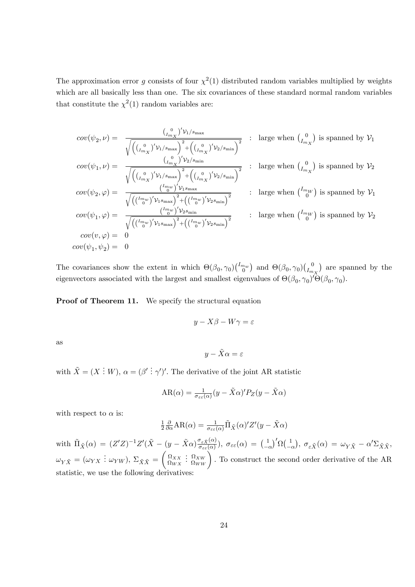The approximation error g consists of four  $\chi^2(1)$  distributed random variables multiplied by weights which are all basically less than one. The six covariances of these standard normal random variables that constitute the  $\chi^2(1)$  random variables are:

$$
cov(\psi_2, \nu) = \frac{\binom{0}{I_{m_X}}'\nu_1/s_{\max}}{\sqrt{\left(\binom{0}{I_{m_X}}'\nu_1/s_{\max}\right)^2 + \left(\binom{0}{I_{m_X}}'\nu_2/s_{\min}\right)^2}}
$$
 : large when  $\binom{0}{I_{m_X}}$  is spanned by  $\nu_1$   
\n
$$
cov(\psi_1, \nu) = \frac{\binom{0}{I_{m_X}}'\nu_1/s_{\max}}{\sqrt{\left(\binom{0}{I_{m_X}}'\nu_1/s_{\max}\right)^2 + \left(\binom{0}{I_{m_X}}'\nu_2/s_{\min}\right)^2}}
$$
 : large when  $\binom{0}{I_{m_X}}$  is spanned by  $\nu_2$   
\n
$$
cov(\psi_2, \varphi) = \frac{\binom{I_{m_W}}{\nu_1}\nu_1 s_{\max}}{\sqrt{\left(\binom{I_{m_W}}{\nu}\nu_1 s_{\max}\right)^2 + \left(\binom{I_{m_W}}{\nu}\nu_2 s_{\min}\right)^2}}
$$
 : large when  $\binom{I_{m_W}}{\nu_1}$  is spanned by  $\nu_1$   
\n
$$
cov(\psi_1, \varphi) = \frac{\binom{I_{m_W}}{\nu_1}\nu_2 s_{\min}}{\sqrt{\left(\binom{I_{m_W}}{\nu}\nu_1 s_{\max}\right)^2 + \left(\binom{I_{m_W}}{\nu}\nu_2 s_{\min}\right)^2}}
$$
 : large when  $\binom{I_{m_W}}{\nu_1}$  is spanned by  $\nu_2$   
\n
$$
cov(\psi_1, \psi_2) = 0
$$
  
\n
$$
cov(\psi_1, \psi_2) = 0
$$

The covariances show the extent in which  $\Theta(\beta_0, \gamma_0)$  $\binom{I_{mw}}{0}$  and  $\Theta(\beta_0, \gamma_0)$  $\binom{0}{I_m}$  $I_{m_X}$  are spanned by the eigenvectors associated with the largest and smallest eigenvalues of  $\Theta(\beta_0, \gamma_0)' \Theta(\beta_0, \gamma_0)$ .

Proof of Theorem 11. We specify the structural equation

$$
y - X\beta - W\gamma = \varepsilon
$$

as

$$
y - \tilde{X}\alpha = \varepsilon
$$

with  $\tilde{X} = (X \dot{X} \dot{X})$ ,  $\alpha = (\beta' \dot{X} \dot{X})'$ . The derivative of the joint AR statistic

$$
AR(\alpha) = \frac{1}{\sigma_{\varepsilon\varepsilon}(\alpha)} (y - \tilde{X}\alpha)' P_Z(y - \tilde{X}\alpha)
$$

with respect to  $\alpha$  is:

$$
\frac{1}{2}\frac{\partial}{\partial \alpha}AR(\alpha) = \frac{1}{\sigma_{\varepsilon\varepsilon}(\alpha)}\tilde{\Pi}_{\tilde{X}}(\alpha)'Z'(y - \tilde{X}\alpha)
$$

with  $~\tilde{\Pi}_{\tilde{X}}(\alpha) ~=~ (Z'Z)^{-1}Z'(\tilde{X}-(y-\tilde{X}\alpha)\frac{\sigma_{\varepsilon\tilde{X}}(\alpha)}{\sigma_{\varepsilon\varepsilon}(\alpha)}$  $(\frac{\sigma_{\varepsilon \tilde{X}}(\alpha)}{\sigma_{\varepsilon \varepsilon}(\alpha)}), \ \sigma_{\varepsilon \varepsilon}(\alpha) \ = \ \big( \frac{1}{1-\alpha} \big)$  $-\alpha$  $\int' \Omega \left( \frac{1}{n} \right)$  $-\alpha$  $), \sigma_{\varepsilon \tilde{X}}(\alpha) = \omega_{Y \tilde{X}} - \alpha' \Sigma_{\tilde{X} \tilde{X}},$  $\omega_{Y\tilde{X}} = (\omega_{YX} : \omega_{YW}), \ \Sigma_{\tilde{X}\tilde{X}} =$  $\begin{pmatrix} \Omega_{XX} \\ \Omega_{WX} \end{pmatrix}$  $\left(\frac{\Omega_{XW}}{\Omega_{WW}}\right)$ . To construct the second order derivative of the AR statistic, we use the following derivatives: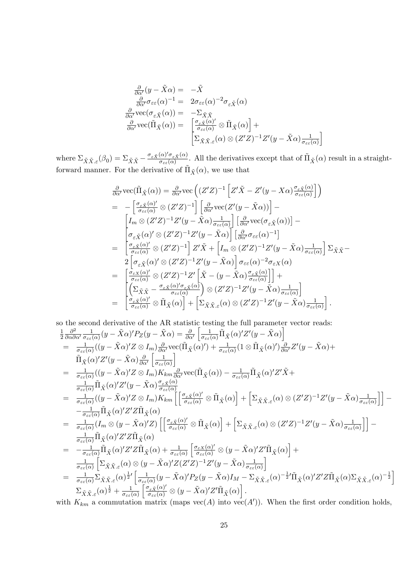$$
\frac{\partial}{\partial \alpha'} (y - \tilde{X}\alpha) = -\tilde{X}
$$
\n
$$
\frac{\partial}{\partial \alpha'} \sigma_{\varepsilon \varepsilon}(\alpha)^{-1} = 2\sigma_{\varepsilon \varepsilon}(\alpha)^{-2} \sigma_{\varepsilon \tilde{X}}(\alpha)
$$
\n
$$
\frac{\partial}{\partial \alpha'} \text{vec}(\sigma_{\varepsilon \tilde{X}}(\alpha)) = -\Sigma_{\tilde{X}\tilde{X}}
$$
\n
$$
\frac{\partial}{\partial \alpha'} \text{vec}(\tilde{\Pi}_{\tilde{X}}(\alpha)) = \begin{bmatrix} \sigma_{\varepsilon \tilde{X}}(\alpha) \\ \sigma_{\varepsilon \varepsilon}(\alpha) \\ \Sigma_{\tilde{X}\tilde{X},\varepsilon}(\alpha) \otimes (Z'Z)^{-1}Z'(y - \tilde{X}\alpha) \sigma_{\varepsilon \varepsilon}(\alpha) \end{bmatrix}
$$

where  $\Sigma_{\tilde{X}\tilde{X},\varepsilon}(\beta_0) = \Sigma_{\tilde{X}\tilde{X}} - \frac{\sigma_{\varepsilon \tilde{X}}(\alpha)'\sigma_{\varepsilon \tilde{X}}(\alpha)}{\sigma_{\varepsilon \varepsilon}(\alpha)}$  $\frac{(\alpha)'\sigma_{\varepsilon,\tilde{X}}(\alpha)}{\sigma_{\varepsilon,\varepsilon}(\alpha)}$ . All the derivatives except that of  $\tilde{\Pi}_{\tilde{X}}(\alpha)$  result in a straightforward manner. For the derivative of  $\tilde{\Pi}_{\tilde{X}}(\alpha)$ , we use that

$$
\frac{\partial}{\partial \alpha'} \text{vec}(\tilde{\Pi}_{\tilde{X}}(\alpha)) = \frac{\partial}{\partial \alpha'} \text{vec}\left((Z'Z)^{-1}\left[Z'\tilde{X} - Z'(y - X\alpha)\frac{\sigma_{\varepsilon \tilde{X}}(\alpha)}{\sigma_{\varepsilon \varepsilon}(\alpha)}\right]\right)
$$
\n
$$
= -\left[\frac{\sigma_{\varepsilon \tilde{X}}(\alpha)'}{\sigma_{\varepsilon \varepsilon}(\alpha)} \otimes (Z'Z)^{-1}\right] \left[\frac{\partial}{\partial \alpha'} \text{vec}(Z'(y - \tilde{X}\alpha))\right] - \left[\frac{I_m \otimes (Z'Z)^{-1}Z'(y - \tilde{X}\alpha)\frac{1}{\sigma_{\varepsilon \varepsilon}(\alpha)}}{\sigma_{\varepsilon \tilde{X}}(\alpha)'}\right] \left[\frac{\partial}{\partial \alpha'} \text{vec}(\sigma_{\varepsilon \tilde{X}}(\alpha))\right] - \left[\frac{\sigma_{\varepsilon \tilde{X}}(\alpha)'}{\sigma_{\varepsilon \varepsilon}(\alpha)} \otimes (Z'Z)^{-1}Z'(y - \tilde{X}\alpha)\right] \left[\frac{\partial}{\partial \alpha'} \sigma_{\varepsilon \varepsilon}(\alpha)^{-1}\right]
$$
\n
$$
= \left[\frac{\sigma_{\varepsilon \tilde{X}}(\alpha)'}{\sigma_{\varepsilon \varepsilon}(\alpha)} \otimes (Z'Z)^{-1}\right] Z'\tilde{X} + \left[I_m \otimes (Z'Z)^{-1}Z'(y - \tilde{X}\alpha)\frac{1}{\sigma_{\varepsilon \varepsilon}(\alpha)}\right] \Sigma_{\tilde{X}\tilde{X}} - 2\left[\sigma_{\varepsilon \tilde{X}}(\alpha)'\otimes (Z'Z)^{-1}Z'(y - \tilde{X}\alpha)\right] \sigma_{\varepsilon \varepsilon}(\alpha)^{-2} \sigma_{\varepsilon X}(\alpha)
$$
\n
$$
= \left[\frac{\sigma_{\varepsilon X}(\alpha)'}{\sigma_{\varepsilon \varepsilon}(\alpha)} \otimes (Z'Z)^{-1}Z'\left[\tilde{X} - (y - \tilde{X}\alpha)\frac{\sigma_{\varepsilon \tilde{X}}(\alpha)}{\sigma_{\varepsilon \varepsilon}(\alpha)}\right]\right] + \left[\frac{\Sigma_{\tilde{X}\tilde{X}} - \frac{\sigma_{\varepsilon \tilde{X}}(\alpha)'\sigma_{\
$$

so the second derivative of the AR statistic testing the full parameter vector reads: 1 2  $\partial^2$  $\overline{\partial \alpha \partial \alpha'}$ 1  $\frac{1}{\sigma_{\varepsilon\varepsilon}(\alpha)}(y-\tilde{X}\alpha)'P_Z(y-\tilde{X}\alpha)=\frac{\partial}{\partial\alpha'}$  $\left[\frac{1}{\sigma_{\varepsilon\varepsilon}(\alpha)}\tilde{\Pi}_{\tilde{X}}(\alpha)'Z'(y-\tilde{X}\alpha)\right]$  $=$   $\frac{1}{\sigma}$  $\frac{1}{\sigma_{\varepsilon\varepsilon}(\alpha)}((y-\tilde{X}\alpha)'Z\otimes I_m)\frac{\partial}{\partial\alpha'}\text{vec}(\tilde{\Pi}_{\tilde{X}}(\alpha)')+\frac{1}{\sigma_{\varepsilon\varepsilon}(\alpha)}(1\otimes\tilde{\Pi}_{\tilde{X}}(\alpha)')\frac{\partial}{\partial\alpha'}Z'(y-\tilde{X}\alpha)+$  $\tilde{\Pi}_{\tilde{X}}(\alpha)^\prime Z^\prime(y-\tilde{X}\alpha)\frac{\partial}{\partial c}$  $\partial \alpha'$  $\begin{bmatrix} 1 \end{bmatrix}$  $\sigma_{\varepsilon\varepsilon}(\alpha)$ i  $= \frac{1}{\sigma}$  $\frac{1}{\sigma_{\varepsilon\varepsilon}(\alpha)}((y-\tilde{X}\alpha)'Z\otimes I_m)K_{km}\frac{\partial}{\partial\alpha'}\text{vec}(\tilde{\Pi}_{\tilde{X}}(\alpha))-\frac{1}{\sigma_{\varepsilon\varepsilon}(\alpha)}\tilde{\Pi}_{\tilde{X}}(\alpha)'Z'\tilde{X} +$  $\frac{1}{\sigma_{\varepsilon\varepsilon}(\alpha)}\tilde{\Pi}_{\tilde{X}}(\alpha)'Z'(y-\tilde{X}\alpha)\frac{\sigma_{\varepsilon\tilde{X}}(\alpha)}{\sigma_{\varepsilon\varepsilon}(\alpha)}$  $\sigma_{\varepsilon\varepsilon}(\alpha)$  $= \frac{1}{\sigma}$  $\frac{1}{\sigma_{\varepsilon\varepsilon}(\alpha)}((y-\tilde{X}\alpha)'Z\otimes I_m)K_{km}\left[\left[\frac{\sigma_{\varepsilon\tilde{X}}(\alpha)'}{\sigma_{\varepsilon\varepsilon}(\alpha)}\otimes\tilde{\Pi}_{\tilde{X}}(\alpha)\right]+\left[\Sigma_{\tilde{X}\tilde{X},\varepsilon}(\alpha)\otimes(Z'Z)^{-1}Z'(y-\tilde{X}\alpha)\frac{1}{\sigma_{\varepsilon\varepsilon}(\alpha)}\right]\right]$  $\frac{1}{\sigma_{\varepsilon\varepsilon}(\alpha)}$  | | - $-\frac{1}{\sigma_{\varepsilon\varepsilon}(\alpha)}\tilde{\Pi}_{\tilde{X}}(\alpha)'Z'Z\tilde{\Pi}_{\tilde{X}}(\alpha)$  $=$   $\frac{1}{\sigma}$  $\frac{1}{\sigma_{\varepsilon\varepsilon}(\alpha)}(I_m\otimes (y-\tilde{X}\alpha)^\prime Z)\left[\left[\frac{\sigma_{\varepsilon\tilde{X}}(\alpha)^\prime}{\sigma_{\varepsilon\varepsilon}(\alpha)}\otimes\tilde{\Pi}_{\tilde{X}}(\alpha)\right]+\left[\Sigma_{\tilde{X}\tilde{X},\varepsilon}(\alpha)\otimes (Z^\prime Z)^{-1}Z^\prime(y-\tilde{X}\alpha)\frac{1}{\sigma_{\varepsilon\varepsilon}(\alpha)}\right]$  $\frac{1}{\sigma_{\varepsilon\varepsilon}(\alpha)}$  | |  $\frac{1}{\sigma_{\varepsilon\varepsilon}(\alpha)}\tilde{\Pi}_{\tilde{X}}(\alpha)'Z'Z\tilde{\Pi}_{\tilde{X}}(\alpha)$  $= \ -\frac{1}{\sigma_{\varepsilon\varepsilon}(\alpha)} \tilde{\Pi}_{\tilde{X}}(\alpha)' Z' Z \tilde{\Pi}_{\tilde{X}}(\alpha) + \frac{1}{\sigma_{\varepsilon\varepsilon}(\alpha)}$  $\left[ \tfrac{\sigma_{\varepsilon X}(\alpha)'}{\sigma_{\varepsilon \varepsilon}(\alpha)} \otimes (y - \tilde{X}\alpha)' Z' \tilde{\Pi}_{\tilde{X}}(\alpha) \right] +$ 1  $\sigma_{\varepsilon\varepsilon}(\alpha)$  $\left[\Sigma_{\tilde{X}\tilde{X},\varepsilon}(\alpha)\otimes(y-\tilde{X}\alpha)'Z(Z'Z)^{-1}Z'(y-\tilde{X}\alpha)\frac{1}{\sigma_{\varepsilon\varepsilon}}\right]$  $\sigma_{\varepsilon\varepsilon}(\alpha)$ i  $= \frac{1}{\sigma_{\varepsilon\varepsilon}(\alpha)}\sum_{\tilde{X}}\tilde{X}_{\cdot\varepsilon}(\alpha)^{\frac{1}{2}}\Big[\frac{1}{\sigma_{\varepsilon\varepsilon}}\Big]$  $\frac{1}{\sigma_{\varepsilon\varepsilon}(\alpha)}(y-\tilde{X}\alpha)'P_Z(y-\tilde{X}\alpha)I_M-\Sigma_{\tilde{X}\tilde{X},\varepsilon}(\alpha)^{-\frac{1}{2}\prime}\tilde{\Pi}_{\tilde{X}}(\alpha)'Z'Z\tilde{\Pi}_{\tilde{X}}(\alpha)\Sigma_{\tilde{X}\tilde{X},\varepsilon}(\alpha)^{-\frac{1}{2}}\bigg]$  $\Sigma_{\tilde{X}\tilde{X}.\varepsilon}(\alpha)^{\frac{1}{2}} + \frac{1}{\sigma_{\varepsilon\varepsilon^{\prime}}}$  $\sigma_{\varepsilon\varepsilon}(\alpha)$  $\left[ \frac{\sigma_{\varepsilon \tilde{X}}(\alpha)'}{\sigma_{\varepsilon \varepsilon}(\alpha)} \otimes (y - \tilde{X}\alpha)' Z' \tilde{\Pi}_{\tilde{X}}(\alpha) \right].$ with  $K_{km}$  a commutation matrix (maps  $\text{vec}(A)$  into  $\text{vec}(A')$ ). When the first order condition holds,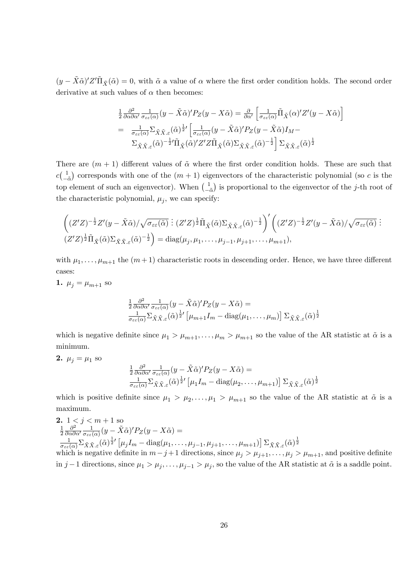$(y - \tilde{X}\tilde{\alpha})'Z'\tilde{\Pi}_{\tilde{X}}(\tilde{\alpha}) = 0$ , with  $\tilde{\alpha}$  a value of  $\alpha$  where the first order condition holds. The second order derivative at such values of  $\alpha$  then becomes:

$$
\frac{1}{2} \frac{\partial^2}{\partial \alpha \partial \alpha'} \frac{1}{\sigma_{\varepsilon \varepsilon}(\alpha)} (y - \tilde{X}\tilde{\alpha})' P_Z(y - X\tilde{\alpha}) = \frac{\partial}{\partial \alpha'} \left[ \frac{1}{\sigma_{\varepsilon \varepsilon}(\alpha)} \tilde{\Pi}_{\tilde{X}}(\alpha)' Z'(y - X\tilde{\alpha}) \right]
$$
\n
$$
= \frac{1}{\sigma_{\varepsilon \varepsilon}(\alpha)} \Sigma_{\tilde{X}\tilde{X}, \varepsilon}(\tilde{\alpha})^{\frac{1}{2}'} \left[ \frac{1}{\sigma_{\varepsilon \varepsilon}(\alpha)} (y - \tilde{X}\tilde{\alpha})' P_Z(y - \tilde{X}\tilde{\alpha}) I_M - \Sigma_{\tilde{X}\tilde{X}, \varepsilon}(\tilde{\alpha})^{-\frac{1}{2}'} \tilde{\Pi}_{\tilde{X}}(\tilde{\alpha})' Z' Z \tilde{\Pi}_{\tilde{X}}(\tilde{\alpha}) \Sigma_{\tilde{X}\tilde{X}, \varepsilon}(\tilde{\alpha})^{-\frac{1}{2}} \right] \Sigma_{\tilde{X}\tilde{X}, \varepsilon}(\tilde{\alpha})^{\frac{1}{2}}
$$

There are  $(m + 1)$  different values of  $\tilde{\alpha}$  where the first order condition holds. These are such that  $c\left(\frac{1}{a}\right)$  $-\tilde{\alpha}$ ) corresponds with one of the  $(m + 1)$  eigenvectors of the characteristic polynomial (so c is the top element of such an eigenvector). When  $\begin{pmatrix} 1 \\ -1 \end{pmatrix}$  $-\tilde{\alpha}$ ) is proportional to the eigenvector of the  $j$ -th root of the characteristic polynomial,  $\mu_j$ , we can specify:

$$
\left((Z'Z)^{-\frac{1}{2}}Z'(y-\tilde{X}\tilde{\alpha})/\sqrt{\sigma_{\varepsilon\varepsilon}(\tilde{\alpha})}\right)\colon (Z'Z)^{\frac{1}{2}}\tilde{\Pi}_{\tilde{X}}(\tilde{\alpha})\Sigma_{\tilde{X}\tilde{X},\varepsilon}(\tilde{\alpha})^{-\frac{1}{2}}\right)'\left((Z'Z)^{-\frac{1}{2}}Z'(y-\tilde{X}\tilde{\alpha})/\sqrt{\sigma_{\varepsilon\varepsilon}(\tilde{\alpha})}\right)
$$

$$
(Z'Z)^{\frac{1}{2}}\tilde{\Pi}_{\tilde{X}}(\tilde{\alpha})\Sigma_{\tilde{X}\tilde{X},\varepsilon}(\tilde{\alpha})^{-\frac{1}{2}}\right) = \text{diag}(\mu_j,\mu_1,\ldots,\mu_{j-1},\mu_{j+1},\ldots,\mu_{m+1}),
$$

with  $\mu_1, \ldots, \mu_{m+1}$  the  $(m+1)$  characteristic roots in descending order. Hence, we have three different cases:

1.  $\mu_j = \mu_{m+1}$  so

$$
\frac{1}{2} \frac{\partial^2}{\partial \alpha \partial \alpha'} \frac{1}{\sigma_{\varepsilon \varepsilon}(\alpha)} (y - \tilde{X} \tilde{\alpha})' P_Z(y - X \tilde{\alpha}) =
$$
\n
$$
\frac{1}{\sigma_{\varepsilon \varepsilon}(\alpha)} \Sigma_{\tilde{X} \tilde{X}, \varepsilon} (\tilde{\alpha})^{\frac{1}{2}'} \left[ \mu_{m+1} I_m - \text{diag}(\mu_1, \dots, \mu_m) \right] \Sigma_{\tilde{X} \tilde{X}, \varepsilon} (\tilde{\alpha})^{\frac{1}{2}}
$$

which is negative definite since  $\mu_1 > \mu_{m+1}, \ldots, \mu_m > \mu_{m+1}$  so the value of the AR statistic at  $\tilde{\alpha}$  is a minimum.

$$
2. \mu_j = \mu_1 \text{ so}
$$

$$
\frac{1}{2} \frac{\partial^2}{\partial \alpha \partial \alpha'} \frac{1}{\sigma_{\varepsilon \varepsilon}(\alpha)} (y - \tilde{X}\tilde{\alpha})' P_Z(y - X\tilde{\alpha}) =
$$
\n
$$
\frac{1}{\sigma_{\varepsilon \varepsilon}(\alpha)} \Sigma_{\tilde{X}\tilde{X},\varepsilon} (\tilde{\alpha})^{\frac{1}{2}'} \left[ \mu_1 I_m - \text{diag}(\mu_2, \dots, \mu_{m+1}) \right] \Sigma_{\tilde{X}\tilde{X},\varepsilon} (\tilde{\alpha})^{\frac{1}{2}}
$$

which is positive definite since  $\mu_1 > \mu_2, \ldots, \mu_1 > \mu_{m+1}$  so the value of the AR statistic at  $\tilde{\alpha}$  is a maximum.

**2.** 
$$
1 < j < m + 1
$$
 so\n $\frac{1}{2} \frac{\partial^2}{\partial \alpha \partial \alpha'} \frac{1}{\sigma_{\varepsilon \varepsilon}(\alpha)} (y - \tilde{X}\tilde{\alpha})' P_Z(y - X\tilde{\alpha}) =$ \n $\frac{1}{\sigma_{\varepsilon \varepsilon}(\alpha)} \sum_{\tilde{X}} \tilde{X}_{\tilde{X},\varepsilon}(\tilde{\alpha})^{\frac{1}{2}'} \left[ \mu_j I_m - \text{diag}(\mu_1, \ldots, \mu_{j-1}, \mu_{j+1}, \ldots, \mu_{m+1}) \right] \sum_{\tilde{X}} \tilde{X}_{\tilde{X},\varepsilon}(\tilde{\alpha})^{\frac{1}{2}}$ \nwhich is negative definite in  $m - j + 1$  directions, since  $\mu_j > \mu_{j+1}, \ldots, \mu_j > \mu_{m+1}$ , and positive definite in  $j - 1$  directions, since  $\mu_1 > \mu_j, \ldots, \mu_{j-1} > \mu_j$ , so the value of the AR statistic at  $\tilde{\alpha}$  is a saddle point.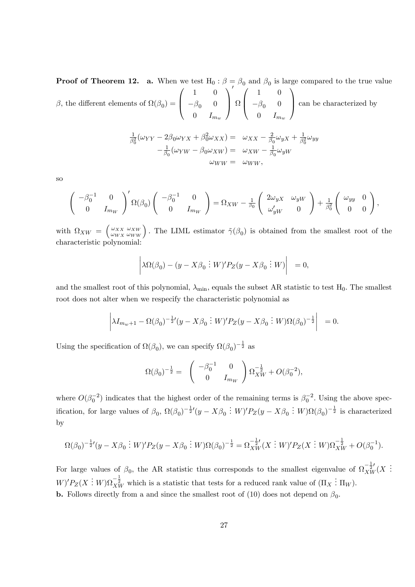**Proof of Theorem 12.** a. When we test  $H_0: \beta = \beta_0$  and  $\beta_0$  is large compared to the true value  $\beta$ , the different elements of  $\Omega(\beta_0)$  =  $\sqrt{ }$  $\overline{ }$ 1 0  $-\beta_0$  0  $0 \quad I_{m_w}$  $\setminus$  $\overline{\phantom{a}}$  $\overline{\phantom{a}}$  $\Omega$  $\sqrt{ }$  $\overline{ }$ 1 0  $-\beta_0$  0  $0 \quad I_{m_w}$ 1 can be characterized by

$$
\frac{1}{\beta_0^2}(\omega_{YY} - 2\beta_0 \omega_{YX} + \beta_0^2 \omega_{XX}) = \omega_{XX} - \frac{2}{\beta_0} \omega_{yX} + \frac{1}{\beta_0^2} \omega_{yy} \n- \frac{1}{\beta_0}(\omega_{YW} - \beta_0 \omega_{XW}) = \omega_{XW} - \frac{1}{\beta_0} \omega_{yW} \n\omega_{WW} = \omega_{WW},
$$

so

$$
\begin{pmatrix}\n-\beta_0^{-1} & 0 \\
0 & I_{m_W}\n\end{pmatrix}' \Omega(\beta_0) \begin{pmatrix}\n-\beta_0^{-1} & 0 \\
0 & I_{m_W}\n\end{pmatrix} = \Omega_{XW} - \frac{1}{\beta_0} \begin{pmatrix}\n2\omega_{yX} & \omega_{yW} \\
\omega'_{yW} & 0\n\end{pmatrix} + \frac{1}{\beta_0^2} \begin{pmatrix}\n\omega_{yy} & 0 \\
0 & 0\n\end{pmatrix},
$$

with  $\Omega_{XW} = \begin{pmatrix} \omega_{XX} \\ \omega_{WX} \end{pmatrix}$  $\omega_{WX}$  $\begin{pmatrix} \omega_{XW} \\ \omega_{WW} \end{pmatrix}$ . The LIML estimator  $\tilde{\gamma}(\beta_0)$  is obtained from the smallest root of the characteristic polynomial:

$$
\left|\lambda\Omega(\beta_0)-(y-X\beta_0:W)'P_Z(y-X\beta_0:W)\right|=0,
$$

and the smallest root of this polynomial,  $\lambda_{\min}$ , equals the subset AR statistic to test  $H_0$ . The smallest root does not alter when we respecify the characteristic polynomial as

$$
\left| \lambda I_{m_w+1} - \Omega(\beta_0)^{-\frac{1}{2}} (y - X\beta_0 \; \vdots \; W)' P_Z(y - X\beta_0 \; \vdots \; W) \Omega(\beta_0)^{-\frac{1}{2}} \right| \; = 0.
$$

Using the specification of  $\Omega(\beta_0)$ , we can specify  $\Omega(\beta_0)^{-\frac{1}{2}}$  as

$$
\Omega(\beta_0)^{-\frac{1}{2}} = \begin{pmatrix} -\beta_0^{-1} & 0 \\ 0 & I_{mw} \end{pmatrix} \Omega_{XW}^{-\frac{1}{2}} + O(\beta_0^{-2}),
$$

where  $O(\beta_0^{-2})$  indicates that the highest order of the remaining terms is  $\beta_0^{-2}$ . Using the above specification, for large values of  $\beta_0$ ,  $\Omega(\beta_0)^{-\frac{1}{2}}(y - X\beta_0 : W)'P_Z(y - X\beta_0 : W)\Omega(\beta_0)^{-\frac{1}{2}}$  is characterized by

$$
\Omega(\beta_0)^{-\frac{1}{2}}(y - X\beta_0 \vdots W)'P_Z(y - X\beta_0 \vdots W)\Omega(\beta_0)^{-\frac{1}{2}} = \Omega_{XW}^{-\frac{1}{2}}(X \vdots W)'P_Z(X \vdots W)\Omega_{XW}^{-\frac{1}{2}} + O(\beta_0^{-1}).
$$

For large values of  $\beta_0$ , the AR statistic thus corresponds to the smallest eigenvalue of  $\Omega_{XW}^{-\frac{1}{2}'}(X)$ .  $W)'P_Z(X:W)\Omega_{XW}^{-\frac{1}{2}}$  which is a statistic that tests for a reduced rank value of  $(\Pi_X: \Pi_W)$ . **b.** Follows directly from a and since the smallest root of (10) does not depend on  $\beta_0$ .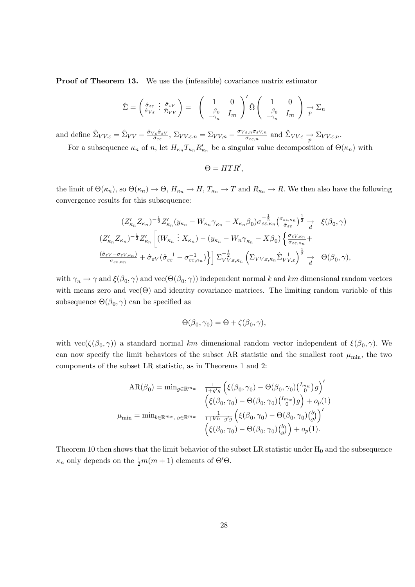Proof of Theorem 13. We use the (infeasible) covariance matrix estimator

$$
\hat{\Sigma} = \begin{pmatrix} \hat{\sigma}_{\varepsilon\varepsilon} & \hat{\sigma}_{\varepsilon V} \\ \hat{\sigma}_{V\varepsilon} & \hat{\Sigma}_{V V} \end{pmatrix} = \begin{pmatrix} 1 & 0 \\ -\beta_0 & I_m \end{pmatrix}' \hat{\Omega} \begin{pmatrix} 1 & 0 \\ -\beta_0 & I_m \end{pmatrix} \xrightarrow{p} \Sigma_n
$$

and define  $\hat{\Sigma}_{VV\cdot\varepsilon} = \hat{\Sigma}_{VV} - \frac{\hat{\sigma}_{V\varepsilon}\hat{\sigma}_{\varepsilon V}}{\hat{\sigma}_{\varepsilon\varepsilon}}$  $\frac{\partial \sigma_{\varepsilon}}{\partial \varepsilon_{\varepsilon}}$ ,  $\Sigma_{VV,\varepsilon,n} = \Sigma_{VV,n} - \frac{\sigma_{V\varepsilon,n} \sigma_{\varepsilon V,n}}{\sigma_{\varepsilon\varepsilon,n}}$  $\frac{\varepsilon, n \sigma_{\varepsilon V, n}}{\sigma_{\varepsilon \varepsilon, n}}$  and  $\hat{\Sigma}_{VV, \varepsilon} \to \Sigma_{VV, \varepsilon, n}$ . For a subsequence  $\kappa_n$  of n, let  $H_{\kappa_n} T_{\kappa_n} R'_{\kappa_n}$  be a singular value decomposition of  $\Theta(\kappa_n)$  with

$$
\Theta = HTR',
$$

the limit of  $\Theta(\kappa_n)$ , so  $\Theta(\kappa_n) \to \Theta$ ,  $H_{\kappa_n} \to H$ ,  $T_{\kappa_n} \to T$  and  $R_{\kappa_n} \to R$ . We then also have the following convergence results for this subsequence:

$$
(Z'_{\kappa_n} Z_{\kappa_n})^{-\frac{1}{2}} Z'_{\kappa_n} (y_{\kappa_n} - W_{\kappa_n} \gamma_{\kappa_n} - X_{\kappa_n} \beta_0) \sigma_{\varepsilon \varepsilon, \kappa_n}^{-\frac{1}{2}} \frac{(\sigma_{\varepsilon \varepsilon, \kappa_n})^{\frac{1}{2}}}{d} \quad \xi(\beta_0, \gamma)
$$
  

$$
(Z'_{\kappa_n} Z_{\kappa_n})^{-\frac{1}{2}} Z'_{\kappa_n} \left[ (W_{\kappa_n} : X_{\kappa_n}) - (y_{\kappa_n} - W_n \gamma_{\kappa_n} - X \beta_0) \left\{ \frac{\sigma_{\varepsilon V, \kappa_n}}{\sigma_{\varepsilon \varepsilon, \kappa_n}} + \frac{(\hat{\sigma}_{\varepsilon V} - \sigma_{\varepsilon V, \kappa_n})^{\frac{1}{2}}}{\sigma_{\varepsilon \varepsilon, \kappa_n}} + \hat{\sigma}_{\varepsilon V} (\hat{\sigma}_{\varepsilon \varepsilon}^{-1} - \sigma_{\varepsilon \varepsilon, \kappa_n}^{-1}) \right\} \right] \Sigma_{V V, \varepsilon, \kappa_n}^{-\frac{1}{2}} \left( \Sigma_{V V, \varepsilon, \kappa_n} \hat{\Sigma}_{V V, \varepsilon}^{-1} \right)^{\frac{1}{2}} \underset{d}{\to} \quad \Theta(\beta_0, \gamma),
$$

with  $\gamma_n \to \gamma$  and  $\xi(\beta_0, \gamma)$  and  $\text{vec}(\Theta(\beta_0, \gamma))$  independent normal k and km dimensional random vectors with means zero and  $vec(\Theta)$  and identity covariance matrices. The limiting random variable of this subsequence  $\Theta(\beta_0, \gamma)$  can be specified as

$$
\Theta(\beta_0, \gamma_0) = \Theta + \zeta(\beta_0, \gamma),
$$

with  $\text{vec}(\zeta(\beta_0, \gamma))$  a standard normal km dimensional random vector independent of  $\xi(\beta_0, \gamma)$ . We can now specify the limit behaviors of the subset AR statistic and the smallest root  $\mu_{\min}$ , the two components of the subset LR statistic, as in Theorems 1 and 2:

$$
AR(\beta_0) = \min_{g \in \mathbb{R}^{m_w}} \frac{1}{1 + g'g} \left( \xi(\beta_0, \gamma_0) - \Theta(\beta_0, \gamma_0) \begin{pmatrix} I_{mw} \\ 0 \end{pmatrix} g \right)'
$$

$$
\left( \xi(\beta_0, \gamma_0) - \Theta(\beta_0, \gamma_0) \begin{pmatrix} I_{mw} \\ 0 \end{pmatrix} g \right) + o_p(1)
$$

$$
\mu_{\min} = \min_{b \in \mathbb{R}^{m_x}, g \in \mathbb{R}^{m_w}} \frac{1}{1 + b'b + g'g} \left( \xi(\beta_0, \gamma_0) - \Theta(\beta_0, \gamma_0) \begin{pmatrix} b \\ g \end{pmatrix} \right)'
$$

$$
\left( \xi(\beta_0, \gamma_0) - \Theta(\beta_0, \gamma_0) \begin{pmatrix} b \\ g \end{pmatrix} \right) + o_p(1).
$$

Theorem 10 then shows that the limit behavior of the subset LR statistic under  $H_0$  and the subsequence  $\kappa_n$  only depends on the  $\frac{1}{2}m(m+1)$  elements of  $\Theta' \Theta$ .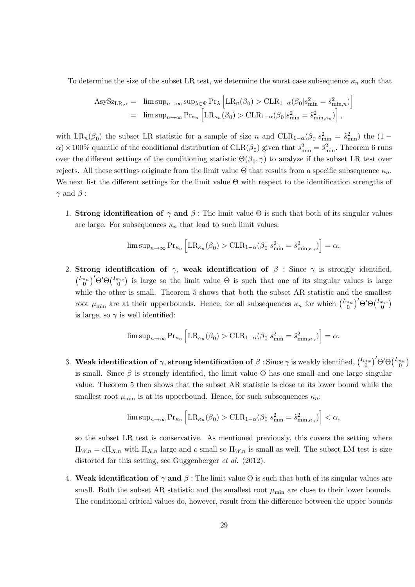To determine the size of the subset LR test, we determine the worst case subsequence  $\kappa_n$  such that

$$
\begin{array}{rcl} \mathrm{AsySz}_{\mathrm{LR},\alpha}=&\limsup_{n\rightarrow\infty}\sup_{\lambda\in\Psi}\mathrm{Pr}_{\lambda}\left[\mathrm{LR}_n(\beta_0)>\mathrm{CLR}_{1-\alpha}(\beta_0|s_{\min}^2=\tilde{s}_{\min,n}^2)\right]\\ &=&\limsup_{n\rightarrow\infty}\mathrm{Pr}_{\kappa_n}\left[\mathrm{LR}_{\kappa_n}(\beta_0)>\mathrm{CLR}_{1-\alpha}(\beta_0|s_{\min}^2=\tilde{s}_{\min,\kappa_n}^2)\right], \end{array}
$$

with  $LR_n(\beta_0)$  the subset LR statistic for a sample of size n and  $CLR_{1-\alpha}(\beta_0|s_{\min}^2 = \tilde{s}_{\min}^2)$  the  $(1-\alpha_0)^2$  $\alpha$ ) × 100% quantile of the conditional distribution of CLR( $\beta_0$ ) given that  $s_{\text{min}}^2 = \tilde{s}_{\text{min}}^2$ . Theorem 6 runs over the different settings of the conditioning statistic  $\Theta(\beta_0, \gamma)$  to analyze if the subset LR test over rejects. All these settings originate from the limit value  $\Theta$  that results from a specific subsequence  $\kappa_n$ . We next list the different settings for the limit value  $\Theta$  with respect to the identification strengths of  $\gamma$  and  $\beta$  :

1. Strong identification of  $\gamma$  and  $\beta$ : The limit value  $\Theta$  is such that both of its singular values are large. For subsequences  $\kappa_n$  that lead to such limit values:

$$
\limsup_{n \to \infty} \Pr_{\kappa_n} \left[ LR_{\kappa_n}(\beta_0) > CLR_{1-\alpha}(\beta_0 | s_{\min}^2 = \tilde{s}_{\min,\kappa_n}^2) \right] = \alpha.
$$

2. Strong identification of  $\gamma$ , weak identification of  $\beta$  : Since  $\gamma$  is strongly identified,  $\binom{I_{mw}}{0}$   $\Theta$   $\Theta$   $\binom{I_{mw}}{0}$  is large so the limit value  $\Theta$  is such that one of its singular values is large while the other is small. Theorem 5 shows that both the subset AR statistic and the smallest root  $\mu_{\min}$  are at their upperbounds. Hence, for all subsequences  $\kappa_n$  for which  $\binom{I_{m_w}}{0}$  $\Theta' \Theta \binom{I_{m_w}}{0}$ is large, so  $\gamma$  is well identified:

$$
\limsup_{n \to \infty} \Pr_{\kappa_n} \left[ LR_{\kappa_n}(\beta_0) > CLR_{1-\alpha}(\beta_0 | s_{\min}^2 = \tilde{s}_{\min, \kappa_n}^2) \right] = \alpha.
$$

3. Weak identification of  $\gamma$ , strong identification of  $\beta$  : Since  $\gamma$  is weakly identified,  $\binom{I_{m_w}}{0}$   $\Theta' \Theta \binom{I_{m_w}}{0}$ is small. Since  $\beta$  is strongly identified, the limit value  $\Theta$  has one small and one large singular value. Theorem 5 then shows that the subset AR statistic is close to its lower bound while the smallest root  $\mu_{\min}$  is at its upperbound. Hence, for such subsequences  $\kappa_n$ :

$$
\limsup\nolimits_{n\to\infty}{\rm Pr}_{\kappa_n}\left[{\rm LR}_{\kappa_n}(\beta_0)>{\rm CLR}_{1-\alpha}\big(\beta_0|s^2_{\min}=\hat{s}^2_{\min,\kappa_n}\big)\right]<\alpha,
$$

so the subset LR test is conservative. As mentioned previously, this covers the setting where  $\Pi_{W,n} = c\Pi_{X,n}$  with  $\Pi_{X,n}$  large and c small so  $\Pi_{W,n}$  is small as well. The subset LM test is size distorted for this setting, see Guggenberger et al. (2012).

4. Weak identification of  $\gamma$  and  $\beta$  : The limit value  $\Theta$  is such that both of its singular values are small. Both the subset AR statistic and the smallest root  $\mu_{\min}$  are close to their lower bounds. The conditional critical values do, however, result from the difference between the upper bounds